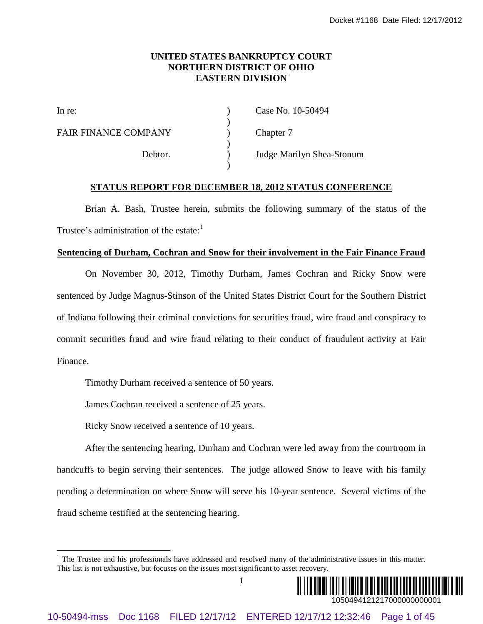#### **UNITED STATES BANKRUPTCY COURT NORTHERN DISTRICT OF OHIO EASTERN DIVISION**

)

)

)

FAIR FINANCE COMPANY (a) Chapter 7

In re: (a) Case No. 10-50494

Debtor. ) Judge Marilyn Shea-Stonum

#### **STATUS REPORT FOR DECEMBER 18, 2012 STATUS CONFERENCE**

Brian A. Bash, Trustee herein, submits the following summary of the status of the Trustee's administration of the estate: $<sup>1</sup>$  $<sup>1</sup>$  $<sup>1</sup>$ </sup>

#### **Sentencing of Durham, Cochran and Snow for their involvement in the Fair Finance Fraud**

On November 30, 2012, Timothy Durham, James Cochran and Ricky Snow were sentenced by Judge Magnus-Stinson of the United States District Court for the Southern District of Indiana following their criminal convictions for securities fraud, wire fraud and conspiracy to commit securities fraud and wire fraud relating to their conduct of fraudulent activity at Fair Finance. **EXERT OR SUATER SUATELY CY COCENT WORKER FIRE CONTRACT CONTRACT CONTRACT ON DISTURCY OF CHINE CHINESES DOCUMENTATION CONTRACT COMPASSY (The CHINESE COMPASSY) Chapter 7 (The Chinese Company of 12 of 50 Order 12/17/17 ENTE** 

Timothy Durham received a sentence of 50 years.

James Cochran received a sentence of 25 years.

Ricky Snow received a sentence of 10 years.

After the sentencing hearing, Durham and Cochran were led away from the courtroom in handcuffs to begin serving their sentences. The judge allowed Snow to leave with his family pending a determination on where Snow will serve his 10-year sentence. Several victims of the fraud scheme testified at the sentencing hearing.



<span id="page-0-0"></span><sup>&</sup>lt;sup>1</sup> The Trustee and his professionals have addressed and resolved many of the administrative issues in this matter. This list is not exhaustive, but focuses on the issues most significant to asset recovery.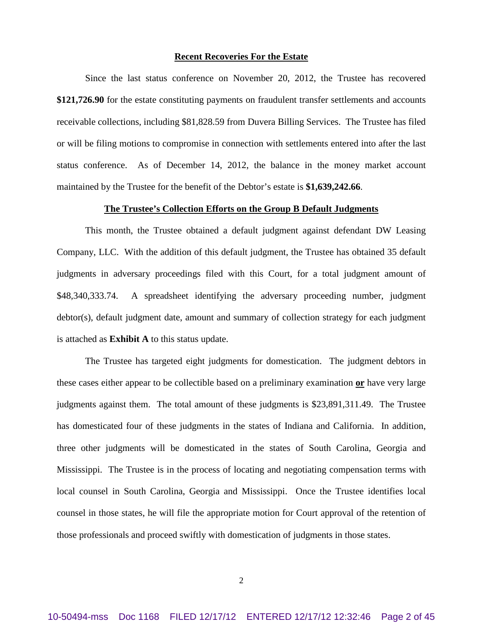#### **Recent Recoveries For the Estate**

Since the last status conference on November 20, 2012, the Trustee has recovered **\$121,726.90** for the estate constituting payments on fraudulent transfer settlements and accounts receivable collections, including \$81,828.59 from Duvera Billing Services. The Trustee has filed or will be filing motions to compromise in connection with settlements entered into after the last status conference. As of December 14, 2012, the balance in the money market account maintained by the Trustee for the benefit of the Debtor's estate is **\$1,639,242.66**.

#### **The Trustee's Collection Efforts on the Group B Default Judgments**

This month, the Trustee obtained a default judgment against defendant DW Leasing Company, LLC. With the addition of this default judgment, the Trustee has obtained 35 default judgments in adversary proceedings filed with this Court, for a total judgment amount of \$48,340,333.74. A spreadsheet identifying the adversary proceeding number, judgment debtor(s), default judgment date, amount and summary of collection strategy for each judgment is attached as **Exhibit A** to this status update.

The Trustee has targeted eight judgments for domestication. The judgment debtors in these cases either appear to be collectible based on a preliminary examination **or** have very large judgments against them. The total amount of these judgments is \$23,891,311.49. The Trustee has domesticated four of these judgments in the states of Indiana and California. In addition, three other judgments will be domesticated in the states of South Carolina, Georgia and Mississippi. The Trustee is in the process of locating and negotiating compensation terms with local counsel in South Carolina, Georgia and Mississippi. Once the Trustee identifies local counsel in those states, he will file the appropriate motion for Court approval of the retention of those professionals and proceed swiftly with domestication of judgments in those states.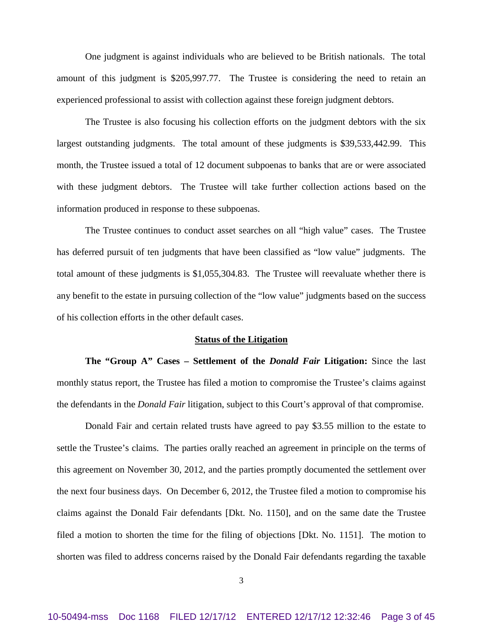One judgment is against individuals who are believed to be British nationals. The total amount of this judgment is \$205,997.77. The Trustee is considering the need to retain an experienced professional to assist with collection against these foreign judgment debtors.

The Trustee is also focusing his collection efforts on the judgment debtors with the six largest outstanding judgments. The total amount of these judgments is \$39,533,442.99. This month, the Trustee issued a total of 12 document subpoenas to banks that are or were associated with these judgment debtors. The Trustee will take further collection actions based on the information produced in response to these subpoenas.

The Trustee continues to conduct asset searches on all "high value" cases. The Trustee has deferred pursuit of ten judgments that have been classified as "low value" judgments. The total amount of these judgments is \$1,055,304.83. The Trustee will reevaluate whether there is any benefit to the estate in pursuing collection of the "low value" judgments based on the success of his collection efforts in the other default cases.

#### **Status of the Litigation**

**The "Group A" Cases – Settlement of the** *Donald Fair* **Litigation:** Since the last monthly status report, the Trustee has filed a motion to compromise the Trustee's claims against the defendants in the *Donald Fair* litigation, subject to this Court's approval of that compromise.

Donald Fair and certain related trusts have agreed to pay \$3.55 million to the estate to settle the Trustee's claims. The parties orally reached an agreement in principle on the terms of this agreement on November 30, 2012, and the parties promptly documented the settlement over the next four business days. On December 6, 2012, the Trustee filed a motion to compromise his claims against the Donald Fair defendants [Dkt. No. 1150], and on the same date the Trustee filed a motion to shorten the time for the filing of objections [Dkt. No. 1151]. The motion to shorten was filed to address concerns raised by the Donald Fair defendants regarding the taxable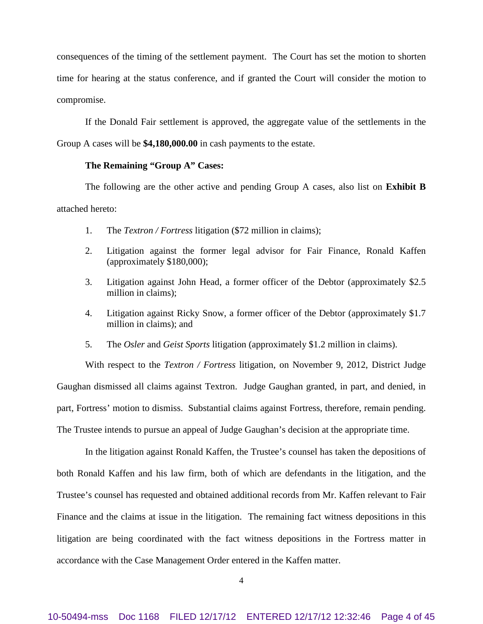consequences of the timing of the settlement payment. The Court has set the motion to shorten time for hearing at the status conference, and if granted the Court will consider the motion to compromise.

If the Donald Fair settlement is approved, the aggregate value of the settlements in the Group A cases will be **\$4,180,000.00** in cash payments to the estate.

#### **The Remaining "Group A" Cases:**

The following are the other active and pending Group A cases, also list on **Exhibit B** attached hereto:

- 1. The *Textron / Fortress* litigation (\$72 million in claims);
- 2. Litigation against the former legal advisor for Fair Finance, Ronald Kaffen (approximately \$180,000);
- 3. Litigation against John Head, a former officer of the Debtor (approximately \$2.5 million in claims);
- 4. Litigation against Ricky Snow, a former officer of the Debtor (approximately \$1.7 million in claims); and
- 5. The *Osler* and *Geist Sports* litigation (approximately \$1.2 million in claims).

With respect to the *Textron / Fortress* litigation, on November 9, 2012, District Judge Gaughan dismissed all claims against Textron. Judge Gaughan granted, in part, and denied, in part, Fortress' motion to dismiss. Substantial claims against Fortress, therefore, remain pending. The Trustee intends to pursue an appeal of Judge Gaughan's decision at the appropriate time.

In the litigation against Ronald Kaffen, the Trustee's counsel has taken the depositions of both Ronald Kaffen and his law firm, both of which are defendants in the litigation, and the Trustee's counsel has requested and obtained additional records from Mr. Kaffen relevant to Fair Finance and the claims at issue in the litigation. The remaining fact witness depositions in this litigation are being coordinated with the fact witness depositions in the Fortress matter in accordance with the Case Management Order entered in the Kaffen matter.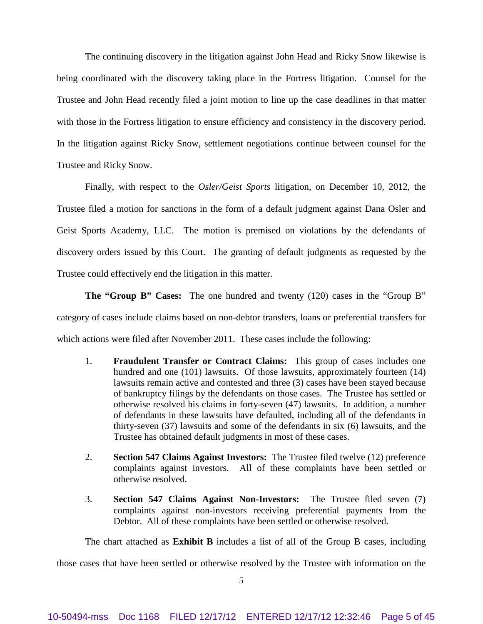The continuing discovery in the litigation against John Head and Ricky Snow likewise is being coordinated with the discovery taking place in the Fortress litigation. Counsel for the Trustee and John Head recently filed a joint motion to line up the case deadlines in that matter with those in the Fortress litigation to ensure efficiency and consistency in the discovery period. In the litigation against Ricky Snow, settlement negotiations continue between counsel for the Trustee and Ricky Snow.

Finally, with respect to the *Osler/Geist Sports* litigation, on December 10, 2012, the Trustee filed a motion for sanctions in the form of a default judgment against Dana Osler and Geist Sports Academy, LLC. The motion is premised on violations by the defendants of discovery orders issued by this Court. The granting of default judgments as requested by the Trustee could effectively end the litigation in this matter.

**The "Group B" Cases:** The one hundred and twenty (120) cases in the "Group B" category of cases include claims based on non-debtor transfers, loans or preferential transfers for which actions were filed after November 2011. These cases include the following:

- 1. **Fraudulent Transfer or Contract Claims:** This group of cases includes one hundred and one (101) lawsuits. Of those lawsuits, approximately fourteen (14) lawsuits remain active and contested and three (3) cases have been stayed because of bankruptcy filings by the defendants on those cases. The Trustee has settled or otherwise resolved his claims in forty-seven (47) lawsuits. In addition, a number of defendants in these lawsuits have defaulted, including all of the defendants in thirty-seven (37) lawsuits and some of the defendants in six (6) lawsuits, and the Trustee has obtained default judgments in most of these cases.
- 2. **Section 547 Claims Against Investors:** The Trustee filed twelve (12) preference complaints against investors. All of these complaints have been settled or otherwise resolved.
- 3. **Section 547 Claims Against Non-Investors:** The Trustee filed seven (7) complaints against non-investors receiving preferential payments from the Debtor. All of these complaints have been settled or otherwise resolved.

The chart attached as **Exhibit B** includes a list of all of the Group B cases, including

those cases that have been settled or otherwise resolved by the Trustee with information on the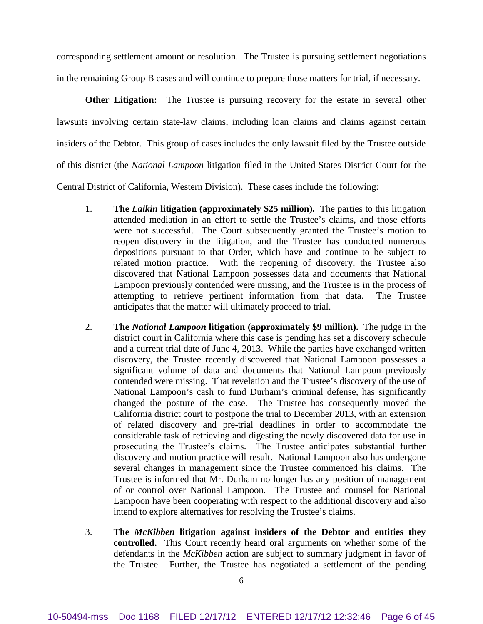corresponding settlement amount or resolution. The Trustee is pursuing settlement negotiations in the remaining Group B cases and will continue to prepare those matters for trial, if necessary.

**Other Litigation:** The Trustee is pursuing recovery for the estate in several other lawsuits involving certain state-law claims, including loan claims and claims against certain insiders of the Debtor. This group of cases includes the only lawsuit filed by the Trustee outside of this district (the *National Lampoon* litigation filed in the United States District Court for the

Central District of California, Western Division). These cases include the following:

- 1. **The** *Laikin* **litigation (approximately \$25 million).** The parties to this litigation attended mediation in an effort to settle the Trustee's claims, and those efforts were not successful. The Court subsequently granted the Trustee's motion to reopen discovery in the litigation, and the Trustee has conducted numerous depositions pursuant to that Order, which have and continue to be subject to related motion practice. With the reopening of discovery, the Trustee also discovered that National Lampoon possesses data and documents that National Lampoon previously contended were missing, and the Trustee is in the process of attempting to retrieve pertinent information from that data. The Trustee anticipates that the matter will ultimately proceed to trial.
- 2. **The** *National Lampoon* **litigation (approximately \$9 million).** The judge in the district court in California where this case is pending has set a discovery schedule and a current trial date of June 4, 2013. While the parties have exchanged written discovery, the Trustee recently discovered that National Lampoon possesses a significant volume of data and documents that National Lampoon previously contended were missing. That revelation and the Trustee's discovery of the use of National Lampoon's cash to fund Durham's criminal defense, has significantly changed the posture of the case. The Trustee has consequently moved the California district court to postpone the trial to December 2013, with an extension of related discovery and pre-trial deadlines in order to accommodate the considerable task of retrieving and digesting the newly discovered data for use in prosecuting the Trustee's claims. The Trustee anticipates substantial further discovery and motion practice will result. National Lampoon also has undergone several changes in management since the Trustee commenced his claims. The Trustee is informed that Mr. Durham no longer has any position of management of or control over National Lampoon. The Trustee and counsel for National Lampoon have been cooperating with respect to the additional discovery and also intend to explore alternatives for resolving the Trustee's claims.
- 3. **The** *McKibben* **litigation against insiders of the Debtor and entities they controlled.** This Court recently heard oral arguments on whether some of the defendants in the *McKibben* action are subject to summary judgment in favor of the Trustee. Further, the Trustee has negotiated a settlement of the pending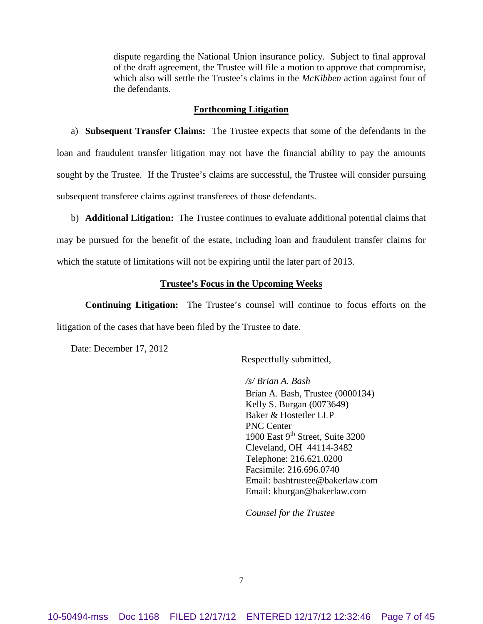dispute regarding the National Union insurance policy. Subject to final approval of the draft agreement, the Trustee will file a motion to approve that compromise, which also will settle the Trustee's claims in the *McKibben* action against four of the defendants.

#### **Forthcoming Litigation**

a) **Subsequent Transfer Claims:** The Trustee expects that some of the defendants in the loan and fraudulent transfer litigation may not have the financial ability to pay the amounts sought by the Trustee. If the Trustee's claims are successful, the Trustee will consider pursuing subsequent transferee claims against transferees of those defendants.

b) **Additional Litigation:** The Trustee continues to evaluate additional potential claims that may be pursued for the benefit of the estate, including loan and fraudulent transfer claims for which the statute of limitations will not be expiring until the later part of 2013.

#### **Trustee's Focus in the Upcoming Weeks**

**Continuing Litigation:** The Trustee's counsel will continue to focus efforts on the litigation of the cases that have been filed by the Trustee to date.

Date: December 17, 2012

Respectfully submitted,

*/s/ Brian A. Bash*

Brian A. Bash, Trustee (0000134) Kelly S. Burgan (0073649) Baker & Hostetler LLP PNC Center 1900 East 9<sup>th</sup> Street, Suite 3200 Cleveland, OH 44114-3482 Telephone: 216.621.0200 Facsimile: 216.696.0740 Email: bashtrustee@bakerlaw.com Email: kburgan@bakerlaw.com

*Counsel for the Trustee*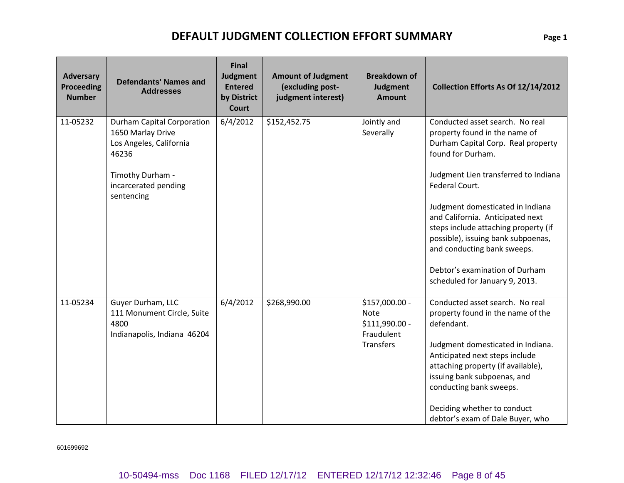| <b>Adversary</b><br><b>Proceeding</b><br><b>Number</b> | <b>Defendants' Names and</b><br><b>Addresses</b>                                                                                                     | <b>Final</b><br>Judgment<br><b>Entered</b><br>by District<br><b>Court</b> | <b>Amount of Judgment</b><br>(excluding post-<br>judgment interest) | <b>Breakdown of</b><br><b>Judgment</b><br><b>Amount</b>                           | Collection Efforts As Of 12/14/2012                                                                                                                                                                                                                                                                                                                                                                                                            |
|--------------------------------------------------------|------------------------------------------------------------------------------------------------------------------------------------------------------|---------------------------------------------------------------------------|---------------------------------------------------------------------|-----------------------------------------------------------------------------------|------------------------------------------------------------------------------------------------------------------------------------------------------------------------------------------------------------------------------------------------------------------------------------------------------------------------------------------------------------------------------------------------------------------------------------------------|
| 11-05232                                               | <b>Durham Capital Corporation</b><br>1650 Marlay Drive<br>Los Angeles, California<br>46236<br>Timothy Durham -<br>incarcerated pending<br>sentencing | 6/4/2012                                                                  | \$152,452.75                                                        | Jointly and<br>Severally                                                          | Conducted asset search. No real<br>property found in the name of<br>Durham Capital Corp. Real property<br>found for Durham.<br>Judgment Lien transferred to Indiana<br>Federal Court.<br>Judgment domesticated in Indiana<br>and California. Anticipated next<br>steps include attaching property (if<br>possible), issuing bank subpoenas,<br>and conducting bank sweeps.<br>Debtor's examination of Durham<br>scheduled for January 9, 2013. |
| 11-05234                                               | Guyer Durham, LLC<br>111 Monument Circle, Suite<br>4800<br>Indianapolis, Indiana 46204                                                               | 6/4/2012                                                                  | \$268,990.00                                                        | \$157,000.00 -<br><b>Note</b><br>\$111,990.00 -<br>Fraudulent<br><b>Transfers</b> | Conducted asset search. No real<br>property found in the name of the<br>defendant.<br>Judgment domesticated in Indiana.<br>Anticipated next steps include<br>attaching property (if available),<br>issuing bank subpoenas, and<br>conducting bank sweeps.<br>Deciding whether to conduct<br>debtor's exam of Dale Buyer, who                                                                                                                   |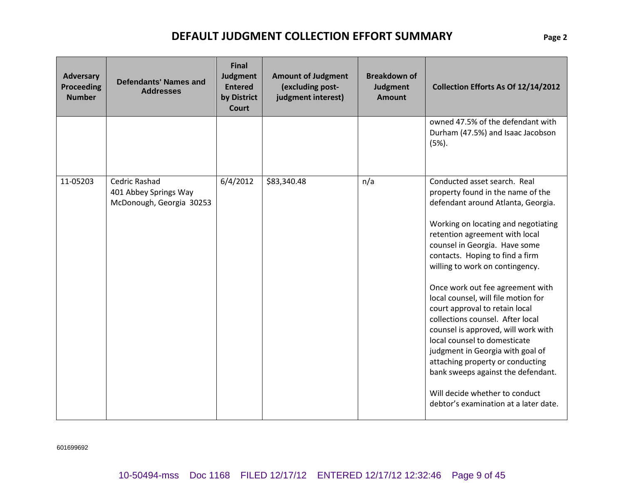| <b>Adversary</b><br><b>Proceeding</b><br><b>Number</b> | <b>Defendants' Names and</b><br><b>Addresses</b>                   | <b>Final</b><br>Judgment<br><b>Entered</b><br>by District<br><b>Court</b> | <b>Amount of Judgment</b><br>(excluding post-<br>judgment interest) | <b>Breakdown of</b><br>Judgment<br><b>Amount</b> | Collection Efforts As Of 12/14/2012                                                                                                                                                                                                                                                                                                                                                                                                                                                                                                                                                                                                                                                                      |
|--------------------------------------------------------|--------------------------------------------------------------------|---------------------------------------------------------------------------|---------------------------------------------------------------------|--------------------------------------------------|----------------------------------------------------------------------------------------------------------------------------------------------------------------------------------------------------------------------------------------------------------------------------------------------------------------------------------------------------------------------------------------------------------------------------------------------------------------------------------------------------------------------------------------------------------------------------------------------------------------------------------------------------------------------------------------------------------|
|                                                        |                                                                    |                                                                           |                                                                     |                                                  | owned 47.5% of the defendant with<br>Durham (47.5%) and Isaac Jacobson<br>$(5%)$ .                                                                                                                                                                                                                                                                                                                                                                                                                                                                                                                                                                                                                       |
| 11-05203                                               | Cedric Rashad<br>401 Abbey Springs Way<br>McDonough, Georgia 30253 | 6/4/2012                                                                  | \$83,340.48                                                         | n/a                                              | Conducted asset search. Real<br>property found in the name of the<br>defendant around Atlanta, Georgia.<br>Working on locating and negotiating<br>retention agreement with local<br>counsel in Georgia. Have some<br>contacts. Hoping to find a firm<br>willing to work on contingency.<br>Once work out fee agreement with<br>local counsel, will file motion for<br>court approval to retain local<br>collections counsel. After local<br>counsel is approved, will work with<br>local counsel to domesticate<br>judgment in Georgia with goal of<br>attaching property or conducting<br>bank sweeps against the defendant.<br>Will decide whether to conduct<br>debtor's examination at a later date. |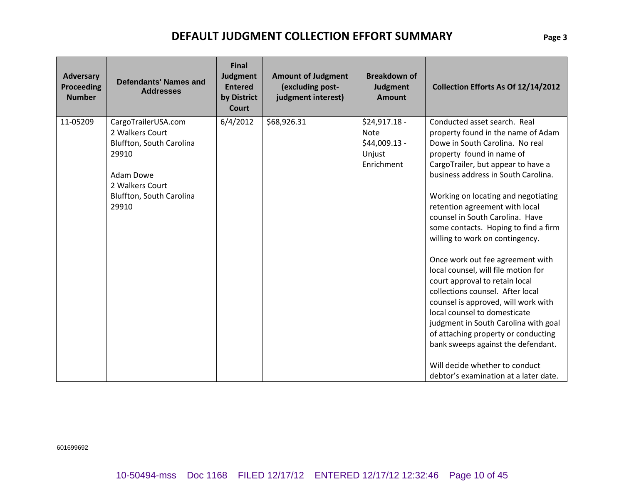| <b>Adversary</b><br><b>Proceeding</b><br><b>Number</b> | <b>Defendants' Names and</b><br><b>Addresses</b>                                                                                                 | <b>Final</b><br>Judgment<br><b>Entered</b><br>by District<br><b>Court</b> | <b>Amount of Judgment</b><br>(excluding post-<br>judgment interest) | <b>Breakdown of</b><br>Judgment<br><b>Amount</b>                       | Collection Efforts As Of 12/14/2012                                                                                                                                                                                                                                                                                                                                                                                                                                                                                                                                                                                                                                                                                                                                                                                            |
|--------------------------------------------------------|--------------------------------------------------------------------------------------------------------------------------------------------------|---------------------------------------------------------------------------|---------------------------------------------------------------------|------------------------------------------------------------------------|--------------------------------------------------------------------------------------------------------------------------------------------------------------------------------------------------------------------------------------------------------------------------------------------------------------------------------------------------------------------------------------------------------------------------------------------------------------------------------------------------------------------------------------------------------------------------------------------------------------------------------------------------------------------------------------------------------------------------------------------------------------------------------------------------------------------------------|
| 11-05209                                               | CargoTrailerUSA.com<br>2 Walkers Court<br>Bluffton, South Carolina<br>29910<br>Adam Dowe<br>2 Walkers Court<br>Bluffton, South Carolina<br>29910 | 6/4/2012                                                                  | \$68,926.31                                                         | $$24,917.18 -$<br><b>Note</b><br>\$44,009.13 -<br>Unjust<br>Enrichment | Conducted asset search. Real<br>property found in the name of Adam<br>Dowe in South Carolina. No real<br>property found in name of<br>CargoTrailer, but appear to have a<br>business address in South Carolina.<br>Working on locating and negotiating<br>retention agreement with local<br>counsel in South Carolina. Have<br>some contacts. Hoping to find a firm<br>willing to work on contingency.<br>Once work out fee agreement with<br>local counsel, will file motion for<br>court approval to retain local<br>collections counsel. After local<br>counsel is approved, will work with<br>local counsel to domesticate<br>judgment in South Carolina with goal<br>of attaching property or conducting<br>bank sweeps against the defendant.<br>Will decide whether to conduct<br>debtor's examination at a later date. |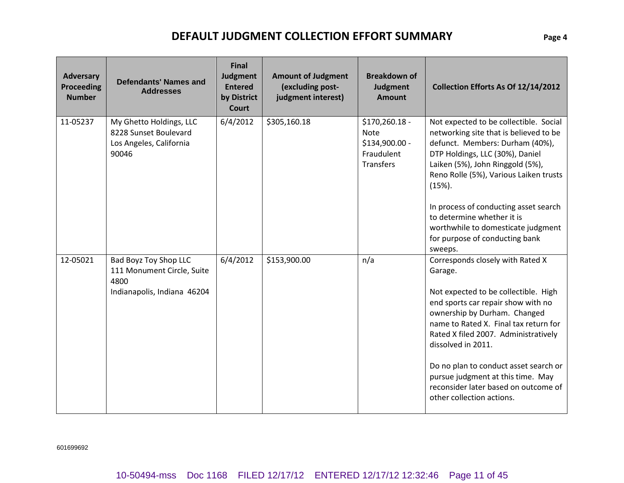| Adversary<br><b>Proceeding</b><br><b>Number</b> | <b>Defendants' Names and</b><br><b>Addresses</b>                                           | <b>Final</b><br>Judgment<br><b>Entered</b><br>by District<br><b>Court</b> | <b>Amount of Judgment</b><br>(excluding post-<br>judgment interest) | <b>Breakdown of</b><br>Judgment<br><b>Amount</b>                                  | Collection Efforts As Of 12/14/2012                                                                                                                                                                                                                                                                                                                                                                                 |
|-------------------------------------------------|--------------------------------------------------------------------------------------------|---------------------------------------------------------------------------|---------------------------------------------------------------------|-----------------------------------------------------------------------------------|---------------------------------------------------------------------------------------------------------------------------------------------------------------------------------------------------------------------------------------------------------------------------------------------------------------------------------------------------------------------------------------------------------------------|
| 11-05237                                        | My Ghetto Holdings, LLC<br>8228 Sunset Boulevard<br>Los Angeles, California<br>90046       | 6/4/2012                                                                  | \$305,160.18                                                        | \$170,260.18 -<br><b>Note</b><br>\$134,900.00 -<br>Fraudulent<br><b>Transfers</b> | Not expected to be collectible. Social<br>networking site that is believed to be<br>defunct. Members: Durham (40%),<br>DTP Holdings, LLC (30%), Daniel<br>Laiken (5%), John Ringgold (5%),<br>Reno Rolle (5%), Various Laiken trusts<br>$(15%)$ .<br>In process of conducting asset search<br>to determine whether it is<br>worthwhile to domesticate judgment<br>for purpose of conducting bank<br>sweeps.         |
| 12-05021                                        | Bad Boyz Toy Shop LLC<br>111 Monument Circle, Suite<br>4800<br>Indianapolis, Indiana 46204 | 6/4/2012                                                                  | \$153,900.00                                                        | n/a                                                                               | Corresponds closely with Rated X<br>Garage.<br>Not expected to be collectible. High<br>end sports car repair show with no<br>ownership by Durham. Changed<br>name to Rated X. Final tax return for<br>Rated X filed 2007. Administratively<br>dissolved in 2011.<br>Do no plan to conduct asset search or<br>pursue judgment at this time. May<br>reconsider later based on outcome of<br>other collection actions. |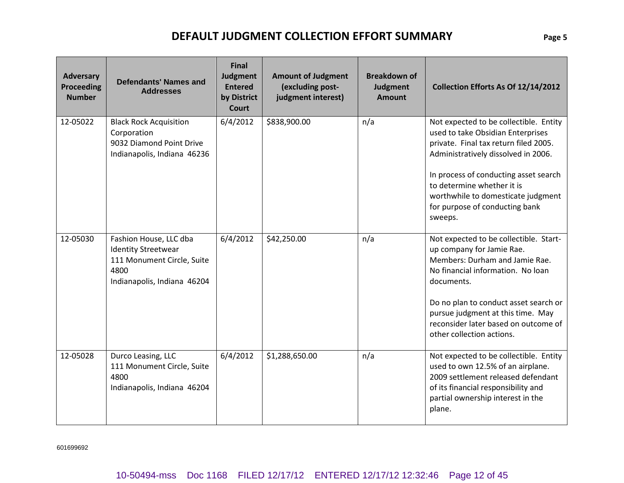| <b>Adversary</b><br><b>Proceeding</b><br><b>Number</b> | <b>Defendants' Names and</b><br><b>Addresses</b>                                                                          | <b>Final</b><br>Judgment<br><b>Entered</b><br>by District<br><b>Court</b> | <b>Amount of Judgment</b><br>(excluding post-<br>judgment interest) | <b>Breakdown of</b><br>Judgment<br><b>Amount</b> | Collection Efforts As Of 12/14/2012                                                                                                                                                                                                                                                                                   |
|--------------------------------------------------------|---------------------------------------------------------------------------------------------------------------------------|---------------------------------------------------------------------------|---------------------------------------------------------------------|--------------------------------------------------|-----------------------------------------------------------------------------------------------------------------------------------------------------------------------------------------------------------------------------------------------------------------------------------------------------------------------|
| 12-05022                                               | <b>Black Rock Acquisition</b><br>Corporation<br>9032 Diamond Point Drive<br>Indianapolis, Indiana 46236                   | 6/4/2012                                                                  | \$838,900.00                                                        | n/a                                              | Not expected to be collectible. Entity<br>used to take Obsidian Enterprises<br>private. Final tax return filed 2005.<br>Administratively dissolved in 2006.<br>In process of conducting asset search<br>to determine whether it is<br>worthwhile to domesticate judgment<br>for purpose of conducting bank<br>sweeps. |
| 12-05030                                               | Fashion House, LLC dba<br><b>Identity Streetwear</b><br>111 Monument Circle, Suite<br>4800<br>Indianapolis, Indiana 46204 | 6/4/2012                                                                  | \$42,250.00                                                         | n/a                                              | Not expected to be collectible. Start-<br>up company for Jamie Rae.<br>Members: Durham and Jamie Rae.<br>No financial information. No loan<br>documents.<br>Do no plan to conduct asset search or<br>pursue judgment at this time. May<br>reconsider later based on outcome of<br>other collection actions.           |
| 12-05028                                               | Durco Leasing, LLC<br>111 Monument Circle, Suite<br>4800<br>Indianapolis, Indiana 46204                                   | 6/4/2012                                                                  | \$1,288,650.00                                                      | n/a                                              | Not expected to be collectible. Entity<br>used to own 12.5% of an airplane.<br>2009 settlement released defendant<br>of its financial responsibility and<br>partial ownership interest in the<br>plane.                                                                                                               |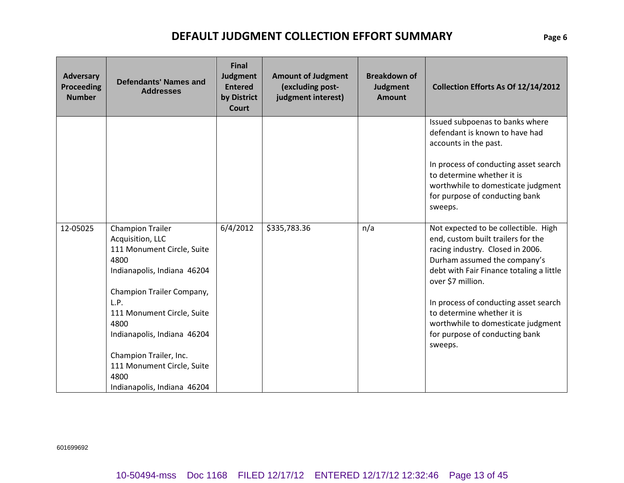| <b>Adversary</b><br><b>Proceeding</b><br><b>Number</b> | <b>Defendants' Names and</b><br><b>Addresses</b>                                                                                                                                                                                                                                                                          | <b>Final</b><br>Judgment<br><b>Entered</b><br>by District<br><b>Court</b> | <b>Amount of Judgment</b><br>(excluding post-<br>judgment interest) | <b>Breakdown of</b><br>Judgment<br><b>Amount</b> | Collection Efforts As Of 12/14/2012                                                                                                                                                                                                                                                                                                                                       |
|--------------------------------------------------------|---------------------------------------------------------------------------------------------------------------------------------------------------------------------------------------------------------------------------------------------------------------------------------------------------------------------------|---------------------------------------------------------------------------|---------------------------------------------------------------------|--------------------------------------------------|---------------------------------------------------------------------------------------------------------------------------------------------------------------------------------------------------------------------------------------------------------------------------------------------------------------------------------------------------------------------------|
|                                                        |                                                                                                                                                                                                                                                                                                                           |                                                                           |                                                                     |                                                  | Issued subpoenas to banks where<br>defendant is known to have had<br>accounts in the past.<br>In process of conducting asset search<br>to determine whether it is<br>worthwhile to domesticate judgment<br>for purpose of conducting bank<br>sweeps.                                                                                                                      |
| 12-05025                                               | <b>Champion Trailer</b><br>Acquisition, LLC<br>111 Monument Circle, Suite<br>4800<br>Indianapolis, Indiana 46204<br>Champion Trailer Company,<br>L.P.<br>111 Monument Circle, Suite<br>4800<br>Indianapolis, Indiana 46204<br>Champion Trailer, Inc.<br>111 Monument Circle, Suite<br>4800<br>Indianapolis, Indiana 46204 | 6/4/2012                                                                  | \$335,783.36                                                        | n/a                                              | Not expected to be collectible. High<br>end, custom built trailers for the<br>racing industry. Closed in 2006.<br>Durham assumed the company's<br>debt with Fair Finance totaling a little<br>over \$7 million.<br>In process of conducting asset search<br>to determine whether it is<br>worthwhile to domesticate judgment<br>for purpose of conducting bank<br>sweeps. |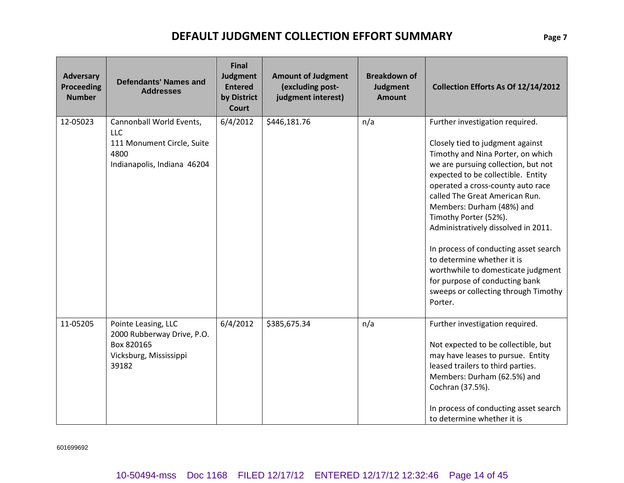| Adversary<br><b>Proceeding</b><br><b>Number</b> | <b>Defendants' Names and</b><br><b>Addresses</b>                                                            | <b>Final</b><br>Judgment<br><b>Entered</b><br>by District<br><b>Court</b> | <b>Amount of Judgment</b><br>(excluding post-<br>judgment interest) | <b>Breakdown of</b><br>Judgment<br><b>Amount</b> | Collection Efforts As Of 12/14/2012                                                                                                                                                                                                                                                                                                                                                                                                                                                                                                                         |
|-------------------------------------------------|-------------------------------------------------------------------------------------------------------------|---------------------------------------------------------------------------|---------------------------------------------------------------------|--------------------------------------------------|-------------------------------------------------------------------------------------------------------------------------------------------------------------------------------------------------------------------------------------------------------------------------------------------------------------------------------------------------------------------------------------------------------------------------------------------------------------------------------------------------------------------------------------------------------------|
| 12-05023                                        | Cannonball World Events,<br><b>LLC</b><br>111 Monument Circle, Suite<br>4800<br>Indianapolis, Indiana 46204 | 6/4/2012                                                                  | \$446,181.76                                                        | n/a                                              | Further investigation required.<br>Closely tied to judgment against<br>Timothy and Nina Porter, on which<br>we are pursuing collection, but not<br>expected to be collectible. Entity<br>operated a cross-county auto race<br>called The Great American Run.<br>Members: Durham (48%) and<br>Timothy Porter (52%).<br>Administratively dissolved in 2011.<br>In process of conducting asset search<br>to determine whether it is<br>worthwhile to domesticate judgment<br>for purpose of conducting bank<br>sweeps or collecting through Timothy<br>Porter. |
| 11-05205                                        | Pointe Leasing, LLC<br>2000 Rubberway Drive, P.O.<br>Box 820165<br>Vicksburg, Mississippi<br>39182          | 6/4/2012                                                                  | \$385,675.34                                                        | n/a                                              | Further investigation required.<br>Not expected to be collectible, but<br>may have leases to pursue. Entity<br>leased trailers to third parties.<br>Members: Durham (62.5%) and<br>Cochran (37.5%).<br>In process of conducting asset search<br>to determine whether it is                                                                                                                                                                                                                                                                                  |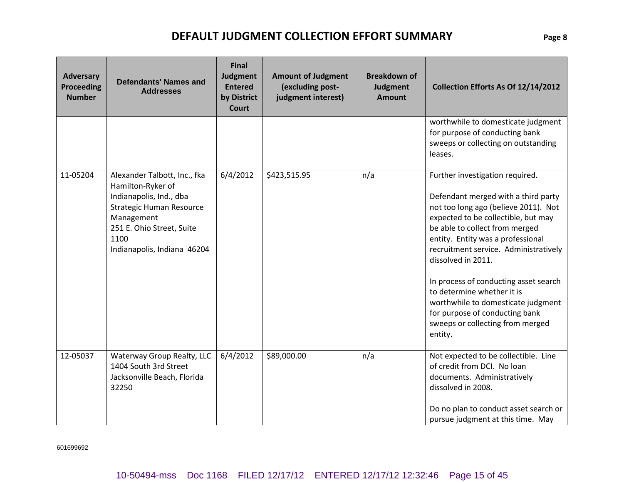| <b>Adversary</b><br><b>Proceeding</b><br><b>Number</b> | <b>Defendants' Names and</b><br><b>Addresses</b>                                                                                                                                           | <b>Final</b><br>Judgment<br><b>Entered</b><br>by District<br><b>Court</b> | <b>Amount of Judgment</b><br>(excluding post-<br>judgment interest) | <b>Breakdown of</b><br>Judgment<br><b>Amount</b> | Collection Efforts As Of 12/14/2012                                                                                                                                                                                                                                                                                                                                                                                                                                                       |
|--------------------------------------------------------|--------------------------------------------------------------------------------------------------------------------------------------------------------------------------------------------|---------------------------------------------------------------------------|---------------------------------------------------------------------|--------------------------------------------------|-------------------------------------------------------------------------------------------------------------------------------------------------------------------------------------------------------------------------------------------------------------------------------------------------------------------------------------------------------------------------------------------------------------------------------------------------------------------------------------------|
|                                                        |                                                                                                                                                                                            |                                                                           |                                                                     |                                                  | worthwhile to domesticate judgment<br>for purpose of conducting bank<br>sweeps or collecting on outstanding<br>leases.                                                                                                                                                                                                                                                                                                                                                                    |
| 11-05204                                               | Alexander Talbott, Inc., fka<br>Hamilton-Ryker of<br>Indianapolis, Ind., dba<br>Strategic Human Resource<br>Management<br>251 E. Ohio Street, Suite<br>1100<br>Indianapolis, Indiana 46204 | 6/4/2012                                                                  | \$423,515.95                                                        | n/a                                              | Further investigation required.<br>Defendant merged with a third party<br>not too long ago (believe 2011). Not<br>expected to be collectible, but may<br>be able to collect from merged<br>entity. Entity was a professional<br>recruitment service. Administratively<br>dissolved in 2011.<br>In process of conducting asset search<br>to determine whether it is<br>worthwhile to domesticate judgment<br>for purpose of conducting bank<br>sweeps or collecting from merged<br>entity. |
| 12-05037                                               | Waterway Group Realty, LLC<br>1404 South 3rd Street<br>Jacksonville Beach, Florida<br>32250                                                                                                | 6/4/2012                                                                  | \$89,000.00                                                         | n/a                                              | Not expected to be collectible. Line<br>of credit from DCI. No loan<br>documents. Administratively<br>dissolved in 2008.<br>Do no plan to conduct asset search or<br>pursue judgment at this time. May                                                                                                                                                                                                                                                                                    |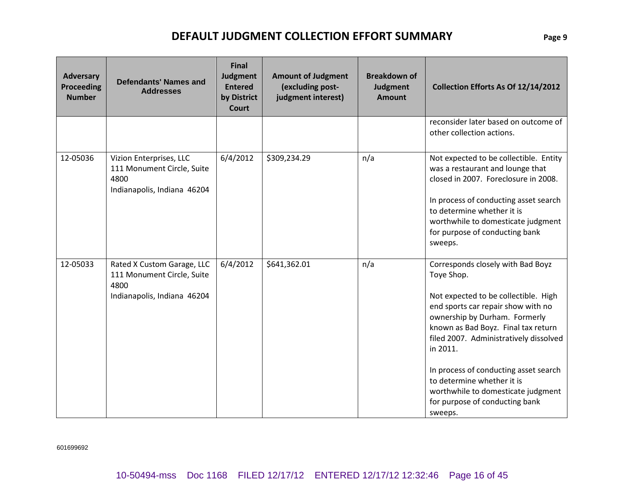| <b>Adversary</b><br><b>Proceeding</b><br><b>Number</b> | <b>Defendants' Names and</b><br><b>Addresses</b>                                                | <b>Final</b><br>Judgment<br><b>Entered</b><br>by District<br><b>Court</b> | <b>Amount of Judgment</b><br>(excluding post-<br>judgment interest) | <b>Breakdown of</b><br>Judgment<br><b>Amount</b> | Collection Efforts As Of 12/14/2012                                                                                                                                                                                                                                                                                                                                                                                   |
|--------------------------------------------------------|-------------------------------------------------------------------------------------------------|---------------------------------------------------------------------------|---------------------------------------------------------------------|--------------------------------------------------|-----------------------------------------------------------------------------------------------------------------------------------------------------------------------------------------------------------------------------------------------------------------------------------------------------------------------------------------------------------------------------------------------------------------------|
|                                                        |                                                                                                 |                                                                           |                                                                     |                                                  | reconsider later based on outcome of<br>other collection actions.                                                                                                                                                                                                                                                                                                                                                     |
| 12-05036                                               | Vizion Enterprises, LLC<br>111 Monument Circle, Suite<br>4800<br>Indianapolis, Indiana 46204    | 6/4/2012                                                                  | \$309,234.29                                                        | n/a                                              | Not expected to be collectible. Entity<br>was a restaurant and lounge that<br>closed in 2007. Foreclosure in 2008.<br>In process of conducting asset search<br>to determine whether it is<br>worthwhile to domesticate judgment<br>for purpose of conducting bank<br>sweeps.                                                                                                                                          |
| 12-05033                                               | Rated X Custom Garage, LLC<br>111 Monument Circle, Suite<br>4800<br>Indianapolis, Indiana 46204 | 6/4/2012                                                                  | \$641,362.01                                                        | n/a                                              | Corresponds closely with Bad Boyz<br>Toye Shop.<br>Not expected to be collectible. High<br>end sports car repair show with no<br>ownership by Durham. Formerly<br>known as Bad Boyz. Final tax return<br>filed 2007. Administratively dissolved<br>in 2011.<br>In process of conducting asset search<br>to determine whether it is<br>worthwhile to domesticate judgment<br>for purpose of conducting bank<br>sweeps. |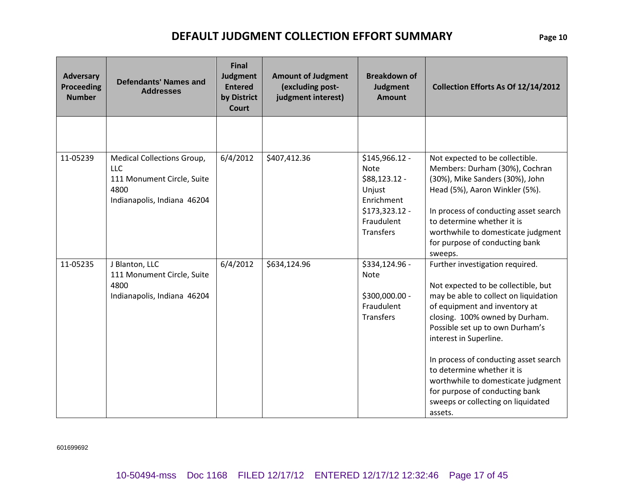| Adversary<br><b>Proceeding</b><br><b>Number</b> | <b>Defendants' Names and</b><br><b>Addresses</b>                                                              | <b>Final</b><br>Judgment<br><b>Entered</b><br>by District<br><b>Court</b> | <b>Amount of Judgment</b><br>(excluding post-<br>judgment interest) | <b>Breakdown of</b><br>Judgment<br><b>Amount</b>                                                                           | Collection Efforts As Of 12/14/2012                                                                                                                                                                                                                                                                                                                                                                                                             |
|-------------------------------------------------|---------------------------------------------------------------------------------------------------------------|---------------------------------------------------------------------------|---------------------------------------------------------------------|----------------------------------------------------------------------------------------------------------------------------|-------------------------------------------------------------------------------------------------------------------------------------------------------------------------------------------------------------------------------------------------------------------------------------------------------------------------------------------------------------------------------------------------------------------------------------------------|
|                                                 |                                                                                                               |                                                                           |                                                                     |                                                                                                                            |                                                                                                                                                                                                                                                                                                                                                                                                                                                 |
| 11-05239                                        | Medical Collections Group,<br><b>LLC</b><br>111 Monument Circle, Suite<br>4800<br>Indianapolis, Indiana 46204 | 6/4/2012                                                                  | \$407,412.36                                                        | \$145,966.12 -<br><b>Note</b><br>\$88,123.12 -<br>Unjust<br>Enrichment<br>\$173,323.12 -<br>Fraudulent<br><b>Transfers</b> | Not expected to be collectible.<br>Members: Durham (30%), Cochran<br>(30%), Mike Sanders (30%), John<br>Head (5%), Aaron Winkler (5%).<br>In process of conducting asset search<br>to determine whether it is<br>worthwhile to domesticate judgment<br>for purpose of conducting bank<br>sweeps.                                                                                                                                                |
| 11-05235                                        | J Blanton, LLC<br>111 Monument Circle, Suite<br>4800<br>Indianapolis, Indiana 46204                           | 6/4/2012                                                                  | \$634,124.96                                                        | \$334,124.96 -<br><b>Note</b><br>\$300,000.00 -<br>Fraudulent<br><b>Transfers</b>                                          | Further investigation required.<br>Not expected to be collectible, but<br>may be able to collect on liquidation<br>of equipment and inventory at<br>closing. 100% owned by Durham.<br>Possible set up to own Durham's<br>interest in Superline.<br>In process of conducting asset search<br>to determine whether it is<br>worthwhile to domesticate judgment<br>for purpose of conducting bank<br>sweeps or collecting on liquidated<br>assets. |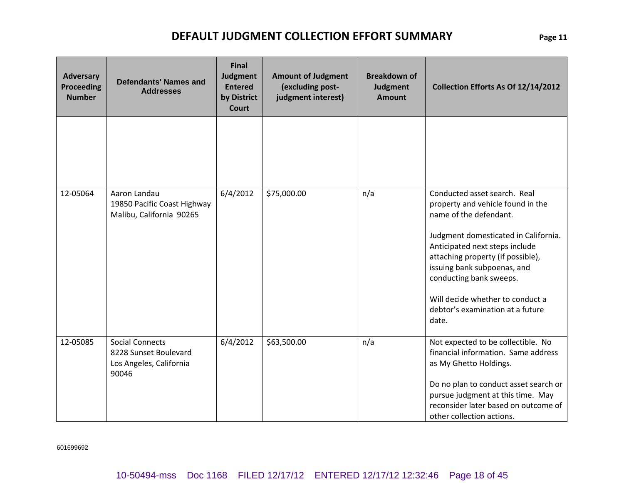| <b>Adversary</b><br><b>Proceeding</b><br><b>Number</b> | <b>Defendants' Names and</b><br><b>Addresses</b>                                    | <b>Final</b><br>Judgment<br><b>Entered</b><br>by District<br><b>Court</b> | <b>Amount of Judgment</b><br>(excluding post-<br>judgment interest) | <b>Breakdown of</b><br>Judgment<br><b>Amount</b> | Collection Efforts As Of 12/14/2012                                                                                                                                                                                                                                                                                                                   |
|--------------------------------------------------------|-------------------------------------------------------------------------------------|---------------------------------------------------------------------------|---------------------------------------------------------------------|--------------------------------------------------|-------------------------------------------------------------------------------------------------------------------------------------------------------------------------------------------------------------------------------------------------------------------------------------------------------------------------------------------------------|
|                                                        |                                                                                     |                                                                           |                                                                     |                                                  |                                                                                                                                                                                                                                                                                                                                                       |
| 12-05064                                               | Aaron Landau<br>19850 Pacific Coast Highway<br>Malibu, California 90265             | 6/4/2012                                                                  | \$75,000.00                                                         | n/a                                              | Conducted asset search. Real<br>property and vehicle found in the<br>name of the defendant.<br>Judgment domesticated in California.<br>Anticipated next steps include<br>attaching property (if possible),<br>issuing bank subpoenas, and<br>conducting bank sweeps.<br>Will decide whether to conduct a<br>debtor's examination at a future<br>date. |
| 12-05085                                               | <b>Social Connects</b><br>8228 Sunset Boulevard<br>Los Angeles, California<br>90046 | 6/4/2012                                                                  | \$63,500.00                                                         | n/a                                              | Not expected to be collectible. No<br>financial information. Same address<br>as My Ghetto Holdings.<br>Do no plan to conduct asset search or<br>pursue judgment at this time. May<br>reconsider later based on outcome of<br>other collection actions.                                                                                                |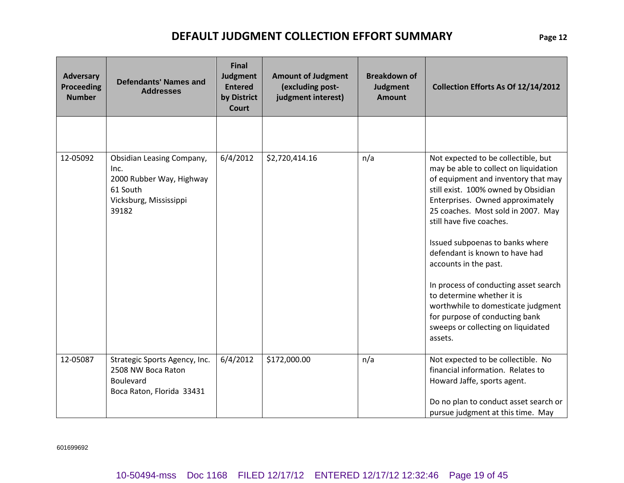| <b>Adversary</b><br><b>Proceeding</b><br><b>Number</b> | <b>Defendants' Names and</b><br><b>Addresses</b>                                                                    | <b>Final</b><br>Judgment<br><b>Entered</b><br>by District<br><b>Court</b> | <b>Amount of Judgment</b><br>(excluding post-<br>judgment interest) | <b>Breakdown of</b><br><b>Judgment</b><br><b>Amount</b> | Collection Efforts As Of 12/14/2012                                                                                                                                                                                                                                                                                                                                                                                                                                                                                                                            |
|--------------------------------------------------------|---------------------------------------------------------------------------------------------------------------------|---------------------------------------------------------------------------|---------------------------------------------------------------------|---------------------------------------------------------|----------------------------------------------------------------------------------------------------------------------------------------------------------------------------------------------------------------------------------------------------------------------------------------------------------------------------------------------------------------------------------------------------------------------------------------------------------------------------------------------------------------------------------------------------------------|
|                                                        |                                                                                                                     |                                                                           |                                                                     |                                                         |                                                                                                                                                                                                                                                                                                                                                                                                                                                                                                                                                                |
| 12-05092                                               | <b>Obsidian Leasing Company,</b><br>Inc.<br>2000 Rubber Way, Highway<br>61 South<br>Vicksburg, Mississippi<br>39182 | 6/4/2012                                                                  | \$2,720,414.16                                                      | n/a                                                     | Not expected to be collectible, but<br>may be able to collect on liquidation<br>of equipment and inventory that may<br>still exist. 100% owned by Obsidian<br>Enterprises. Owned approximately<br>25 coaches. Most sold in 2007. May<br>still have five coaches.<br>Issued subpoenas to banks where<br>defendant is known to have had<br>accounts in the past.<br>In process of conducting asset search<br>to determine whether it is<br>worthwhile to domesticate judgment<br>for purpose of conducting bank<br>sweeps or collecting on liquidated<br>assets. |
| 12-05087                                               | Strategic Sports Agency, Inc.<br>2508 NW Boca Raton<br>Boulevard<br>Boca Raton, Florida 33431                       | 6/4/2012                                                                  | \$172,000.00                                                        | n/a                                                     | Not expected to be collectible. No<br>financial information. Relates to<br>Howard Jaffe, sports agent.<br>Do no plan to conduct asset search or<br>pursue judgment at this time. May                                                                                                                                                                                                                                                                                                                                                                           |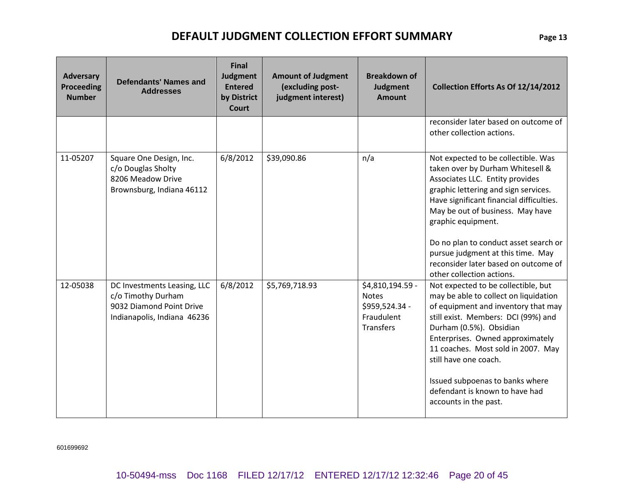| <b>Adversary</b><br><b>Proceeding</b><br><b>Number</b> | <b>Defendants' Names and</b><br><b>Addresses</b>                                                             | <b>Final</b><br>Judgment<br><b>Entered</b><br>by District<br><b>Court</b> | <b>Amount of Judgment</b><br>(excluding post-<br>judgment interest) | <b>Breakdown of</b><br>Judgment<br><b>Amount</b>                                     | Collection Efforts As Of 12/14/2012                                                                                                                                                                                                                                                                                                                                                                         |
|--------------------------------------------------------|--------------------------------------------------------------------------------------------------------------|---------------------------------------------------------------------------|---------------------------------------------------------------------|--------------------------------------------------------------------------------------|-------------------------------------------------------------------------------------------------------------------------------------------------------------------------------------------------------------------------------------------------------------------------------------------------------------------------------------------------------------------------------------------------------------|
|                                                        |                                                                                                              |                                                                           |                                                                     |                                                                                      | reconsider later based on outcome of<br>other collection actions.                                                                                                                                                                                                                                                                                                                                           |
| 11-05207                                               | Square One Design, Inc.<br>c/o Douglas Sholty<br>8206 Meadow Drive<br>Brownsburg, Indiana 46112              | 6/8/2012                                                                  | \$39,090.86                                                         | n/a                                                                                  | Not expected to be collectible. Was<br>taken over by Durham Whitesell &<br>Associates LLC. Entity provides<br>graphic lettering and sign services.<br>Have significant financial difficulties.<br>May be out of business. May have<br>graphic equipment.<br>Do no plan to conduct asset search or<br>pursue judgment at this time. May<br>reconsider later based on outcome of<br>other collection actions. |
| 12-05038                                               | DC Investments Leasing, LLC<br>c/o Timothy Durham<br>9032 Diamond Point Drive<br>Indianapolis, Indiana 46236 | 6/8/2012                                                                  | \$5,769,718.93                                                      | \$4,810,194.59 -<br><b>Notes</b><br>\$959,524.34 -<br>Fraudulent<br><b>Transfers</b> | Not expected to be collectible, but<br>may be able to collect on liquidation<br>of equipment and inventory that may<br>still exist. Members: DCI (99%) and<br>Durham (0.5%). Obsidian<br>Enterprises. Owned approximately<br>11 coaches. Most sold in 2007. May<br>still have one coach.<br>Issued subpoenas to banks where<br>defendant is known to have had<br>accounts in the past.                      |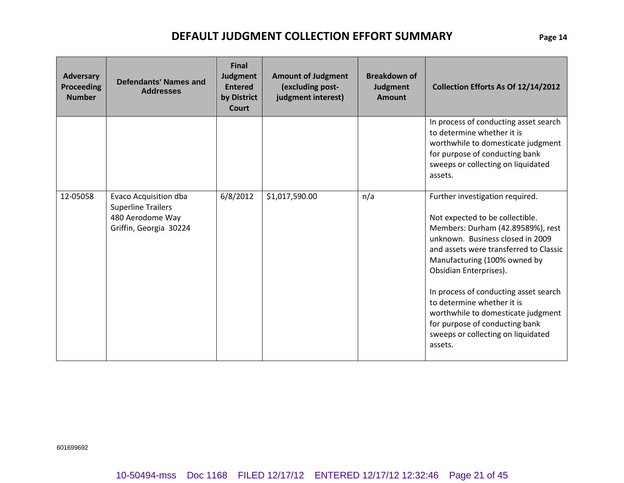| <b>Adversary</b><br><b>Proceeding</b><br><b>Number</b> | <b>Defendants' Names and</b><br><b>Addresses</b>                                                 | <b>Final</b><br>Judgment<br><b>Entered</b><br>by District<br>Court | <b>Amount of Judgment</b><br>(excluding post-<br>judgment interest) | <b>Breakdown of</b><br>Judgment<br><b>Amount</b> | Collection Efforts As Of 12/14/2012                                                                                                                                                                                                                                                                                                                                                                                                             |
|--------------------------------------------------------|--------------------------------------------------------------------------------------------------|--------------------------------------------------------------------|---------------------------------------------------------------------|--------------------------------------------------|-------------------------------------------------------------------------------------------------------------------------------------------------------------------------------------------------------------------------------------------------------------------------------------------------------------------------------------------------------------------------------------------------------------------------------------------------|
|                                                        |                                                                                                  |                                                                    |                                                                     |                                                  | In process of conducting asset search<br>to determine whether it is<br>worthwhile to domesticate judgment<br>for purpose of conducting bank<br>sweeps or collecting on liquidated<br>assets.                                                                                                                                                                                                                                                    |
| 12-05058                                               | Evaco Acquisition dba<br><b>Superline Trailers</b><br>480 Aerodome Way<br>Griffin, Georgia 30224 | 6/8/2012                                                           | \$1,017,590.00                                                      | n/a                                              | Further investigation required.<br>Not expected to be collectible.<br>Members: Durham (42.89589%), rest<br>unknown. Business closed in 2009<br>and assets were transferred to Classic<br>Manufacturing (100% owned by<br>Obsidian Enterprises).<br>In process of conducting asset search<br>to determine whether it is<br>worthwhile to domesticate judgment<br>for purpose of conducting bank<br>sweeps or collecting on liquidated<br>assets. |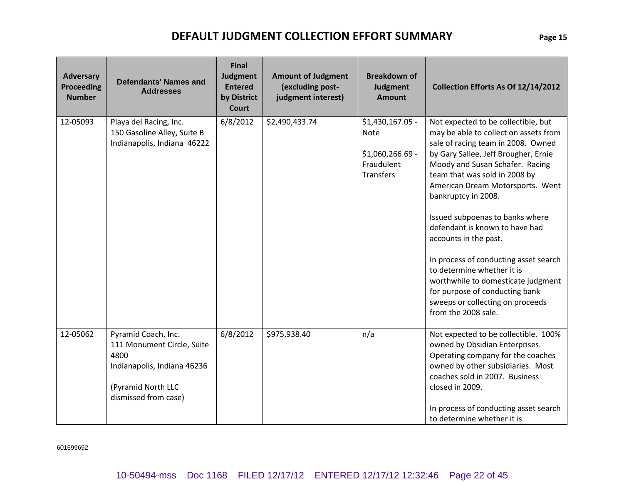| <b>Adversary</b><br>Proceeding<br><b>Number</b> | <b>Defendants' Names and</b><br><b>Addresses</b>                                                                                       | <b>Final</b><br>Judgment<br><b>Entered</b><br>by District<br><b>Court</b> | <b>Amount of Judgment</b><br>(excluding post-<br>judgment interest) | <b>Breakdown of</b><br>Judgment<br><b>Amount</b>                                      | Collection Efforts As Of 12/14/2012                                                                                                                                                                                                                                                                                                                                                                                                                                                                                                                                                               |
|-------------------------------------------------|----------------------------------------------------------------------------------------------------------------------------------------|---------------------------------------------------------------------------|---------------------------------------------------------------------|---------------------------------------------------------------------------------------|---------------------------------------------------------------------------------------------------------------------------------------------------------------------------------------------------------------------------------------------------------------------------------------------------------------------------------------------------------------------------------------------------------------------------------------------------------------------------------------------------------------------------------------------------------------------------------------------------|
| 12-05093                                        | Playa del Racing, Inc.<br>150 Gasoline Alley, Suite B<br>Indianapolis, Indiana 46222                                                   | 6/8/2012                                                                  | \$2,490,433.74                                                      | \$1,430,167.05 -<br><b>Note</b><br>\$1,060,266.69 -<br>Fraudulent<br><b>Transfers</b> | Not expected to be collectible, but<br>may be able to collect on assets from<br>sale of racing team in 2008. Owned<br>by Gary Sallee, Jeff Brougher, Ernie<br>Moody and Susan Schafer. Racing<br>team that was sold in 2008 by<br>American Dream Motorsports. Went<br>bankruptcy in 2008.<br>Issued subpoenas to banks where<br>defendant is known to have had<br>accounts in the past.<br>In process of conducting asset search<br>to determine whether it is<br>worthwhile to domesticate judgment<br>for purpose of conducting bank<br>sweeps or collecting on proceeds<br>from the 2008 sale. |
| 12-05062                                        | Pyramid Coach, Inc.<br>111 Monument Circle, Suite<br>4800<br>Indianapolis, Indiana 46236<br>(Pyramid North LLC<br>dismissed from case) | 6/8/2012                                                                  | \$975,938.40                                                        | n/a                                                                                   | Not expected to be collectible. 100%<br>owned by Obsidian Enterprises.<br>Operating company for the coaches<br>owned by other subsidiaries. Most<br>coaches sold in 2007. Business<br>closed in 2009.<br>In process of conducting asset search<br>to determine whether it is                                                                                                                                                                                                                                                                                                                      |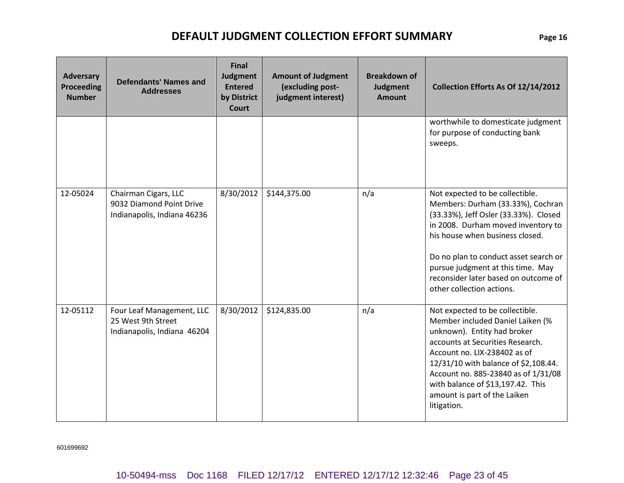| <b>Adversary</b><br><b>Proceeding</b><br><b>Number</b> | <b>Defendants' Names and</b><br><b>Addresses</b>                                | Final<br><b>Judgment</b><br><b>Entered</b><br>by District<br><b>Court</b> | <b>Amount of Judgment</b><br>(excluding post-<br>judgment interest) | <b>Breakdown of</b><br>Judgment<br><b>Amount</b> | Collection Efforts As Of 12/14/2012                                                                                                                                                                                                                                                                                                       |
|--------------------------------------------------------|---------------------------------------------------------------------------------|---------------------------------------------------------------------------|---------------------------------------------------------------------|--------------------------------------------------|-------------------------------------------------------------------------------------------------------------------------------------------------------------------------------------------------------------------------------------------------------------------------------------------------------------------------------------------|
|                                                        |                                                                                 |                                                                           |                                                                     |                                                  | worthwhile to domesticate judgment<br>for purpose of conducting bank<br>sweeps.                                                                                                                                                                                                                                                           |
| 12-05024                                               | Chairman Cigars, LLC<br>9032 Diamond Point Drive<br>Indianapolis, Indiana 46236 | 8/30/2012                                                                 | \$144,375.00                                                        | n/a                                              | Not expected to be collectible.<br>Members: Durham (33.33%), Cochran<br>(33.33%), Jeff Osler (33.33%). Closed<br>in 2008. Durham moved inventory to<br>his house when business closed.<br>Do no plan to conduct asset search or<br>pursue judgment at this time. May<br>reconsider later based on outcome of<br>other collection actions. |
| 12-05112                                               | Four Leaf Management, LLC<br>25 West 9th Street<br>Indianapolis, Indiana 46204  | 8/30/2012                                                                 | \$124,835.00                                                        | n/a                                              | Not expected to be collectible.<br>Member included Daniel Laiken (%<br>unknown). Entity had broker<br>accounts at Securities Research.<br>Account no. LIX-238402 as of<br>12/31/10 with balance of \$2,108.44.<br>Account no. 885-23840 as of 1/31/08<br>with balance of \$13,197.42. This<br>amount is part of the Laiken<br>litigation. |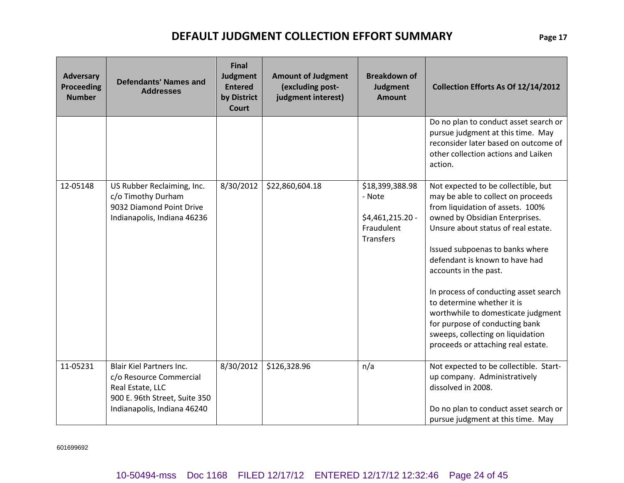| <b>Adversary</b><br><b>Proceeding</b><br><b>Number</b> | <b>Defendants' Names and</b><br><b>Addresses</b>                                                                                               | <b>Final</b><br>Judgment<br><b>Entered</b><br>by District<br><b>Court</b> | <b>Amount of Judgment</b><br>(excluding post-<br>judgment interest) | <b>Breakdown of</b><br><b>Judgment</b><br><b>Amount</b>                         | Collection Efforts As Of 12/14/2012                                                                                                                                                                                                                                                                                                                                                                                                                                                                            |
|--------------------------------------------------------|------------------------------------------------------------------------------------------------------------------------------------------------|---------------------------------------------------------------------------|---------------------------------------------------------------------|---------------------------------------------------------------------------------|----------------------------------------------------------------------------------------------------------------------------------------------------------------------------------------------------------------------------------------------------------------------------------------------------------------------------------------------------------------------------------------------------------------------------------------------------------------------------------------------------------------|
|                                                        |                                                                                                                                                |                                                                           |                                                                     |                                                                                 | Do no plan to conduct asset search or<br>pursue judgment at this time. May<br>reconsider later based on outcome of<br>other collection actions and Laiken<br>action.                                                                                                                                                                                                                                                                                                                                           |
| 12-05148                                               | US Rubber Reclaiming, Inc.<br>c/o Timothy Durham<br>9032 Diamond Point Drive<br>Indianapolis, Indiana 46236                                    | 8/30/2012                                                                 | \$22,860,604.18                                                     | \$18,399,388.98<br>- Note<br>\$4,461,215.20 -<br>Fraudulent<br><b>Transfers</b> | Not expected to be collectible, but<br>may be able to collect on proceeds<br>from liquidation of assets. 100%<br>owned by Obsidian Enterprises.<br>Unsure about status of real estate.<br>Issued subpoenas to banks where<br>defendant is known to have had<br>accounts in the past.<br>In process of conducting asset search<br>to determine whether it is<br>worthwhile to domesticate judgment<br>for purpose of conducting bank<br>sweeps, collecting on liquidation<br>proceeds or attaching real estate. |
| 11-05231                                               | <b>Blair Kiel Partners Inc.</b><br>c/o Resource Commercial<br>Real Estate, LLC<br>900 E. 96th Street, Suite 350<br>Indianapolis, Indiana 46240 | 8/30/2012                                                                 | \$126,328.96                                                        | n/a                                                                             | Not expected to be collectible. Start-<br>up company. Administratively<br>dissolved in 2008.<br>Do no plan to conduct asset search or<br>pursue judgment at this time. May                                                                                                                                                                                                                                                                                                                                     |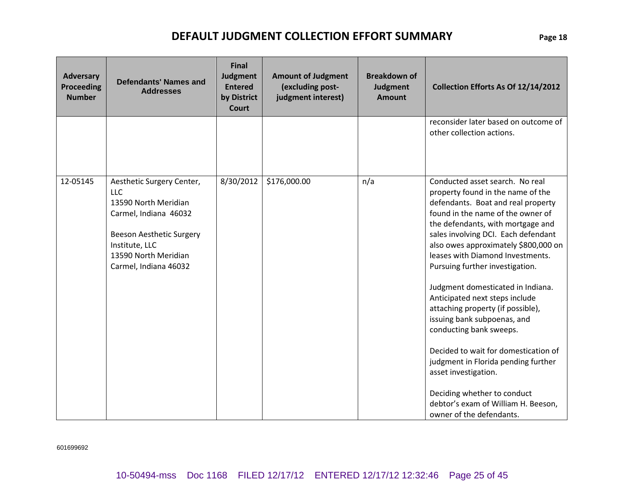| <b>Adversary</b><br><b>Proceeding</b><br><b>Number</b> | <b>Defendants' Names and</b><br><b>Addresses</b>                                                                                                                                        | <b>Final</b><br><b>Judgment</b><br><b>Entered</b><br>by District<br><b>Court</b> | <b>Amount of Judgment</b><br>(excluding post-<br>judgment interest) | <b>Breakdown of</b><br>Judgment<br><b>Amount</b> | Collection Efforts As Of 12/14/2012                                                                                                                                                                                                                                                                                                                                                                                                                                                                                                                                                                                                                                                                                       |  |  |  |
|--------------------------------------------------------|-----------------------------------------------------------------------------------------------------------------------------------------------------------------------------------------|----------------------------------------------------------------------------------|---------------------------------------------------------------------|--------------------------------------------------|---------------------------------------------------------------------------------------------------------------------------------------------------------------------------------------------------------------------------------------------------------------------------------------------------------------------------------------------------------------------------------------------------------------------------------------------------------------------------------------------------------------------------------------------------------------------------------------------------------------------------------------------------------------------------------------------------------------------------|--|--|--|
|                                                        |                                                                                                                                                                                         |                                                                                  |                                                                     |                                                  | reconsider later based on outcome of<br>other collection actions.                                                                                                                                                                                                                                                                                                                                                                                                                                                                                                                                                                                                                                                         |  |  |  |
| 12-05145                                               | Aesthetic Surgery Center,<br><b>LLC</b><br>13590 North Meridian<br>Carmel, Indiana 46032<br>Beeson Aesthetic Surgery<br>Institute, LLC<br>13590 North Meridian<br>Carmel, Indiana 46032 | 8/30/2012                                                                        | \$176,000.00                                                        | n/a                                              | Conducted asset search. No real<br>property found in the name of the<br>defendants. Boat and real property<br>found in the name of the owner of<br>the defendants, with mortgage and<br>sales involving DCI. Each defendant<br>also owes approximately \$800,000 on<br>leases with Diamond Investments.<br>Pursuing further investigation.<br>Judgment domesticated in Indiana.<br>Anticipated next steps include<br>attaching property (if possible),<br>issuing bank subpoenas, and<br>conducting bank sweeps.<br>Decided to wait for domestication of<br>judgment in Florida pending further<br>asset investigation.<br>Deciding whether to conduct<br>debtor's exam of William H. Beeson,<br>owner of the defendants. |  |  |  |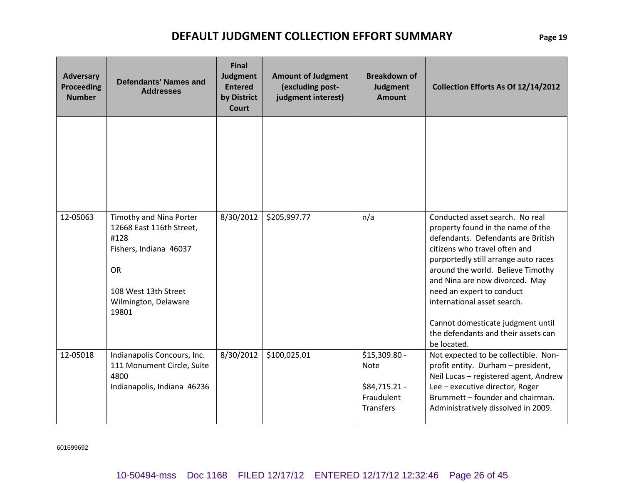| <b>Adversary</b><br><b>Proceeding</b><br><b>Number</b> | <b>Final</b><br><b>Judgment</b><br><b>Defendants' Names and</b><br><b>Entered</b><br><b>Addresses</b><br>by District<br><b>Court</b>                        |           | <b>Amount of Judgment</b><br>(excluding post-<br>judgment interest) | <b>Breakdown of</b><br><b>Judgment</b><br><b>Amount</b>                         | Collection Efforts As Of 12/14/2012                                                                                                                                                                                                                                                                                                                                                                               |  |  |  |  |
|--------------------------------------------------------|-------------------------------------------------------------------------------------------------------------------------------------------------------------|-----------|---------------------------------------------------------------------|---------------------------------------------------------------------------------|-------------------------------------------------------------------------------------------------------------------------------------------------------------------------------------------------------------------------------------------------------------------------------------------------------------------------------------------------------------------------------------------------------------------|--|--|--|--|
|                                                        |                                                                                                                                                             |           |                                                                     |                                                                                 |                                                                                                                                                                                                                                                                                                                                                                                                                   |  |  |  |  |
| 12-05063                                               | Timothy and Nina Porter<br>12668 East 116th Street,<br>#128<br>Fishers, Indiana 46037<br><b>OR</b><br>108 West 13th Street<br>Wilmington, Delaware<br>19801 | 8/30/2012 | \$205,997.77                                                        | n/a                                                                             | Conducted asset search. No real<br>property found in the name of the<br>defendants. Defendants are British<br>citizens who travel often and<br>purportedly still arrange auto races<br>around the world. Believe Timothy<br>and Nina are now divorced. May<br>need an expert to conduct<br>international asset search.<br>Cannot domesticate judgment until<br>the defendants and their assets can<br>be located. |  |  |  |  |
| 12-05018                                               | Indianapolis Concours, Inc.<br>111 Monument Circle, Suite<br>4800<br>Indianapolis, Indiana 46236                                                            | 8/30/2012 | \$100,025.01                                                        | \$15,309.80 -<br><b>Note</b><br>\$84,715.21 -<br>Fraudulent<br><b>Transfers</b> | Not expected to be collectible. Non-<br>profit entity. Durham - president,<br>Neil Lucas - registered agent, Andrew<br>Lee - executive director, Roger<br>Brummett - founder and chairman.<br>Administratively dissolved in 2009.                                                                                                                                                                                 |  |  |  |  |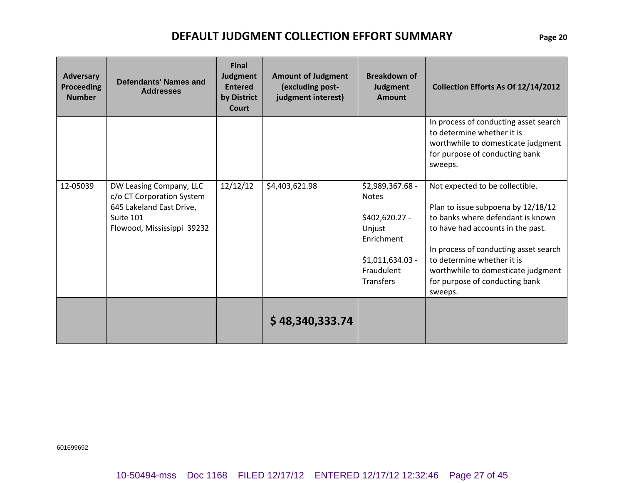| <b>Adversary</b><br><b>Proceeding</b><br><b>Number</b> | Defendants' Names and<br><b>Addresses</b>                                                                                   | <b>Final</b><br>Judgment<br><b>Entered</b><br>by District<br>Court | <b>Amount of Judgment</b><br>(excluding post-<br>judgment interest) | <b>Breakdown of</b><br>Judgment<br><b>Amount</b>                                                                                  | Collection Efforts As Of 12/14/2012                                                                                                                                                                                                                                                                       |
|--------------------------------------------------------|-----------------------------------------------------------------------------------------------------------------------------|--------------------------------------------------------------------|---------------------------------------------------------------------|-----------------------------------------------------------------------------------------------------------------------------------|-----------------------------------------------------------------------------------------------------------------------------------------------------------------------------------------------------------------------------------------------------------------------------------------------------------|
|                                                        |                                                                                                                             |                                                                    |                                                                     |                                                                                                                                   | In process of conducting asset search<br>to determine whether it is<br>worthwhile to domesticate judgment<br>for purpose of conducting bank<br>sweeps.                                                                                                                                                    |
| 12-05039                                               | DW Leasing Company, LLC<br>c/o CT Corporation System<br>645 Lakeland East Drive,<br>Suite 101<br>Flowood, Mississippi 39232 | 12/12/12                                                           | \$4,403,621.98                                                      | \$2,989,367.68 -<br><b>Notes</b><br>\$402,620.27 -<br>Unjust<br>Enrichment<br>$$1,011,634.03$ -<br>Fraudulent<br><b>Transfers</b> | Not expected to be collectible.<br>Plan to issue subpoena by 12/18/12<br>to banks where defendant is known<br>to have had accounts in the past.<br>In process of conducting asset search<br>to determine whether it is<br>worthwhile to domesticate judgment<br>for purpose of conducting bank<br>sweeps. |
|                                                        |                                                                                                                             |                                                                    | \$48,340,333.74                                                     |                                                                                                                                   |                                                                                                                                                                                                                                                                                                           |

601699692

10-50494-mss Doc 1168 FILED 12/17/12 ENTERED 12/17/12 12:32:46 Page 27 of 45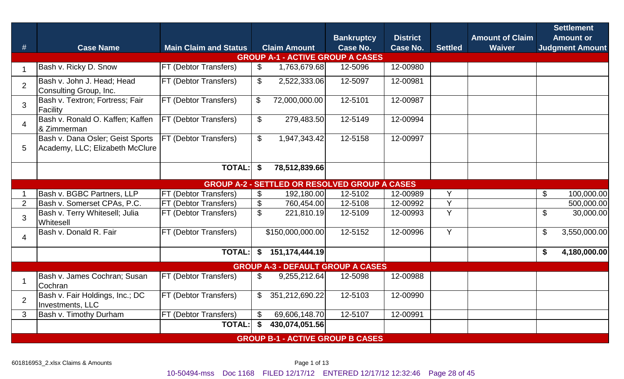|                |                                                                     |                              |                            |                                                      | <b>Bankruptcy</b> | <b>District</b> |                | <b>Amount of Claim</b> | <b>Settlement</b><br><b>Amount or</b>  |  |  |  |  |
|----------------|---------------------------------------------------------------------|------------------------------|----------------------------|------------------------------------------------------|-------------------|-----------------|----------------|------------------------|----------------------------------------|--|--|--|--|
| #              | <b>Case Name</b>                                                    | <b>Main Claim and Status</b> |                            | <b>Claim Amount</b>                                  | <b>Case No.</b>   | Case No.        | <b>Settled</b> | <b>Waiver</b>          | <b>Judgment Amount</b>                 |  |  |  |  |
|                | <b>GROUP A-1 - ACTIVE GROUP A CASES</b>                             |                              |                            |                                                      |                   |                 |                |                        |                                        |  |  |  |  |
| $\mathbf{1}$   | Bash v. Ricky D. Snow                                               | FT (Debtor Transfers)        | $\mathcal{L}$              | 1,763,679.68                                         | 12-5096           | 12-00980        |                |                        |                                        |  |  |  |  |
| $\overline{2}$ | Bash v. John J. Head; Head<br>Consulting Group, Inc.                | FT (Debtor Transfers)        | $\mathfrak{S}$             | 2,522,333.06                                         | 12-5097           | 12-00981        |                |                        |                                        |  |  |  |  |
| 3              | Bash v. Textron; Fortress; Fair<br>Facility                         | FT (Debtor Transfers)        | $\$\$                      | 72,000,000.00                                        | 12-5101           | 12-00987        |                |                        |                                        |  |  |  |  |
| $\overline{4}$ | Bash v. Ronald O. Kaffen; Kaffen<br>& Zimmerman                     | FT (Debtor Transfers)        | $\mathfrak{F}$             | 279,483.50                                           | 12-5149           | 12-00994        |                |                        |                                        |  |  |  |  |
| 5              | Bash v. Dana Osler; Geist Sports<br>Academy, LLC; Elizabeth McClure | FT (Debtor Transfers)        | $\mathbb{S}$               | 1,947,343.42                                         | 12-5158           | 12-00997        |                |                        |                                        |  |  |  |  |
|                |                                                                     | <b>TOTAL:</b>                | \$                         | 78,512,839.66                                        |                   |                 |                |                        |                                        |  |  |  |  |
|                |                                                                     |                              |                            | <b>GROUP A-2 - SETTLED OR RESOLVED GROUP A CASES</b> |                   |                 |                |                        |                                        |  |  |  |  |
|                | Bash v. BGBC Partners, LLP                                          | FT (Debtor Transfers)        | \$                         | 192,180.00                                           | 12-5102           | 12-00989        | Y              |                        | $\mathfrak{F}$<br>100,000.00           |  |  |  |  |
| 2              | Bash v. Somerset CPAs, P.C.                                         | FT (Debtor Transfers)        | \$                         | 760,454.00                                           | 12-5108           | 12-00992        | Y              |                        | 500,000.00                             |  |  |  |  |
| $\overline{3}$ | Bash v. Terry Whitesell; Julia<br><b>Whitesell</b>                  | FT (Debtor Transfers)        | $\mathbb S$                | 221,810.19                                           | 12-5109           | 12-00993        | Y              |                        | $\boldsymbol{\mathsf{S}}$<br>30,000.00 |  |  |  |  |
| $\overline{4}$ | Bash v. Donald R. Fair                                              | FT (Debtor Transfers)        |                            | \$150,000,000.00                                     | 12-5152           | 12-00996        | Y              |                        | 3,550,000.00<br>\$                     |  |  |  |  |
|                |                                                                     | <b>TOTAL:</b>                | \$                         | 151,174,444.19                                       |                   |                 |                |                        | \$<br>4,180,000.00                     |  |  |  |  |
|                |                                                                     |                              |                            | <b>GROUP A-3 - DEFAULT GROUP A CASES</b>             |                   |                 |                |                        |                                        |  |  |  |  |
|                | Bash v. James Cochran; Susan<br>Cochran                             | <b>FT (Debtor Transfers)</b> | $\mathfrak{F}$             | 9,255,212.64                                         | 12-5098           | 12-00988        |                |                        |                                        |  |  |  |  |
| $\overline{2}$ | Bash v. Fair Holdings, Inc.; DC<br>Investments, LLC                 | FT (Debtor Transfers)        | $\mathfrak{F}$             | 351,212,690.22                                       | 12-5103           | 12-00990        |                |                        |                                        |  |  |  |  |
| 3              | Bash v. Timothy Durham                                              | FT (Debtor Transfers)        | $\boldsymbol{\mathcal{L}}$ | 69,606,148.70                                        | 12-5107           | 12-00991        |                |                        |                                        |  |  |  |  |
|                |                                                                     | <b>TOTAL:</b>                | \$                         | 430,074,051.56                                       |                   |                 |                |                        |                                        |  |  |  |  |
|                |                                                                     |                              |                            | <b>GROUP B-1 - ACTIVE GROUP B CASES</b>              |                   |                 |                |                        |                                        |  |  |  |  |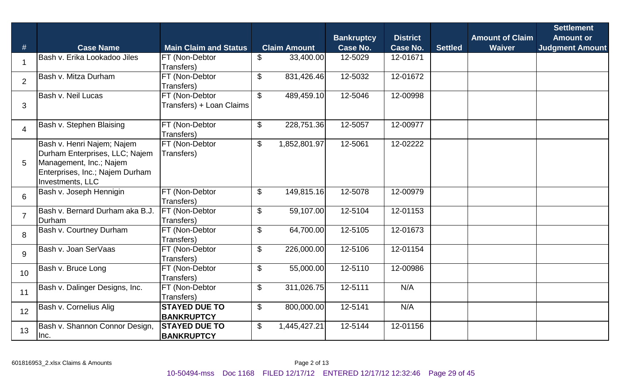|                |                                                                                                                                                |                                            |                                         | <b>Bankruptcy</b> | <b>District</b> |                | <b>Amount of Claim</b> | <b>Settlement</b><br><b>Amount or</b> |
|----------------|------------------------------------------------------------------------------------------------------------------------------------------------|--------------------------------------------|-----------------------------------------|-------------------|-----------------|----------------|------------------------|---------------------------------------|
| #              | <b>Case Name</b>                                                                                                                               | <b>Main Claim and Status</b>               | <b>Claim Amount</b>                     | <b>Case No.</b>   | <b>Case No.</b> | <b>Settled</b> | <b>Waiver</b>          | <b>Judgment Amount</b>                |
| $\mathbf 1$    | Bash v. Erika Lookadoo Jiles                                                                                                                   | FT (Non-Debtor<br>Transfers)               | $\mathbb S$<br>33,400.00                | 12-5029           | 12-01671        |                |                        |                                       |
| 2              | Bash v. Mitza Durham                                                                                                                           | FT (Non-Debtor<br>Transfers)               | $\mathfrak{S}$<br>831,426.46            | 12-5032           | 12-01672        |                |                        |                                       |
| 3              | Bash v. Neil Lucas                                                                                                                             | FT (Non-Debtor<br>Transfers) + Loan Claims | $\mathfrak{S}$<br>489,459.10            | 12-5046           | 12-00998        |                |                        |                                       |
| $\overline{4}$ | Bash v. Stephen Blaising                                                                                                                       | FT (Non-Debtor<br>Transfers)               | $\mathfrak{F}$<br>228,751.36            | 12-5057           | 12-00977        |                |                        |                                       |
| 5              | Bash v. Henri Najem; Najem<br>Durham Enterprises, LLC; Najem<br>Management, Inc.; Najem<br>Enterprises, Inc.; Najem Durham<br>Investments, LLC | FT (Non-Debtor<br>Transfers)               | 1,852,801.97<br>$\mathbb{S}$            | 12-5061           | 12-02222        |                |                        |                                       |
| 6              | Bash v. Joseph Hennigin                                                                                                                        | FT (Non-Debtor<br>Transfers)               | $\boldsymbol{\mathsf{S}}$<br>149,815.16 | 12-5078           | 12-00979        |                |                        |                                       |
| $\overline{7}$ | Bash v. Bernard Durham aka B.J.<br>Durham                                                                                                      | FT (Non-Debtor<br>Transfers)               | $\boldsymbol{\mathsf{S}}$<br>59,107.00  | 12-5104           | 12-01153        |                |                        |                                       |
| 8              | <b>Bash v. Courtney Durham</b>                                                                                                                 | FT (Non-Debtor<br>Transfers)               | \$<br>64,700.00                         | 12-5105           | 12-01673        |                |                        |                                       |
| 9              | Bash v. Joan SerVaas                                                                                                                           | FT (Non-Debtor<br>Transfers)               | \$<br>226,000.00                        | 12-5106           | 12-01154        |                |                        |                                       |
| 10             | Bash v. Bruce Long                                                                                                                             | FT (Non-Debtor<br>Transfers)               | $\mathcal{L}$<br>55,000.00              | 12-5110           | 12-00986        |                |                        |                                       |
| 11             | Bash v. Dalinger Designs, Inc.                                                                                                                 | FT (Non-Debtor<br>Transfers)               | $\mathfrak{S}$<br>311,026.75            | 12-5111           | N/A             |                |                        |                                       |
| 12             | Bash v. Cornelius Alig                                                                                                                         | <b>STAYED DUE TO</b><br><b>BANKRUPTCY</b>  | $\mathbb{S}$<br>800,000.00              | 12-5141           | N/A             |                |                        |                                       |
| 13             | Bash v. Shannon Connor Design,<br>Inc.                                                                                                         | <b>STAYED DUE TO</b><br><b>BANKRUPTCY</b>  | $\mathfrak{F}$<br>1,445,427.21          | 12-5144           | 12-01156        |                |                        |                                       |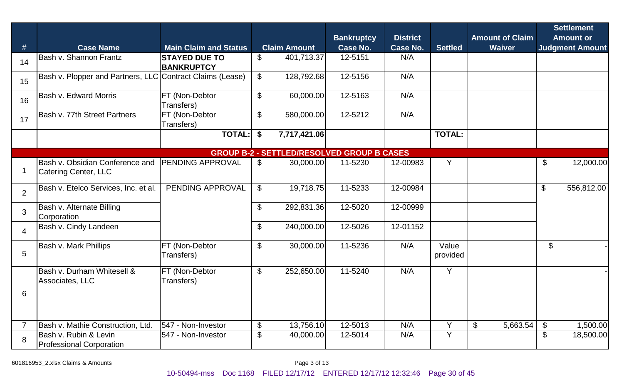| #              | <b>Case Name</b>                                          | <b>Main Claim and Status</b>              |                | <b>Claim Amount</b> | <b>Bankruptcy</b><br><b>Case No.</b>              | <b>District</b><br><b>Case No.</b> | <b>Settled</b>    | <b>Amount of Claim</b><br><b>Waiver</b> |                            | <b>Settlement</b><br><b>Amount or</b><br><b>Judgment Amount</b> |
|----------------|-----------------------------------------------------------|-------------------------------------------|----------------|---------------------|---------------------------------------------------|------------------------------------|-------------------|-----------------------------------------|----------------------------|-----------------------------------------------------------------|
| 14             | <b>Bash v. Shannon Frantz</b>                             | <b>STAYED DUE TO</b><br><b>BANKRUPTCY</b> | $\mathfrak{S}$ | 401,713.37          | 12-5151                                           | N/A                                |                   |                                         |                            |                                                                 |
| 15             | Bash v. Plopper and Partners, LLC Contract Claims (Lease) |                                           | $\mathfrak{S}$ | 128,792.68          | 12-5156                                           | N/A                                |                   |                                         |                            |                                                                 |
| 16             | <b>Bash v. Edward Morris</b>                              | FT (Non-Debtor<br>Transfers)              | $\mathfrak{S}$ | 60,000.00           | 12-5163                                           | N/A                                |                   |                                         |                            |                                                                 |
| 17             | Bash v. 77th Street Partners                              | FT (Non-Debtor<br>Transfers)              | \$             | 580,000.00          | 12-5212                                           | N/A                                |                   |                                         |                            |                                                                 |
|                |                                                           | <b>TOTAL:</b>                             | \$             | 7,717,421.06        |                                                   |                                    | <b>TOTAL:</b>     |                                         |                            |                                                                 |
|                |                                                           |                                           |                |                     | <b>GROUP B-2 - SETTLED/RESOLVED GROUP B CASES</b> |                                    |                   |                                         |                            |                                                                 |
|                | Bash v. Obsidian Conference and<br>Catering Center, LLC   | PENDING APPROVAL                          | $\mathbb{S}$   | 30,000.00           | 11-5230                                           | 12-00983                           | Y                 |                                         | $\boldsymbol{\mathsf{S}}$  | 12,000.00                                                       |
| 2              | Bash v. Etelco Services, Inc. et al.                      | PENDING APPROVAL                          | $\mathfrak{S}$ | 19,718.75           | 11-5233                                           | 12-00984                           |                   |                                         | \$                         | 556,812.00                                                      |
| 3              | <b>Bash v. Alternate Billing</b><br>Corporation           |                                           | $\mathfrak{S}$ | 292,831.36          | 12-5020                                           | 12-00999                           |                   |                                         |                            |                                                                 |
| $\overline{4}$ | Bash v. Cindy Landeen                                     |                                           | \$             | 240,000.00          | 12-5026                                           | 12-01152                           |                   |                                         |                            |                                                                 |
| 5              | Bash v. Mark Phillips                                     | FT (Non-Debtor<br>Transfers)              | $\mathfrak{S}$ | 30,000.00           | 11-5236                                           | N/A                                | Value<br>provided |                                         | \$                         |                                                                 |
|                | Bash v. Durham Whitesell &<br>Associates, LLC             | FT (Non-Debtor<br>Transfers)              | \$             | 252,650.00          | 11-5240                                           | N/A                                | Y                 |                                         |                            |                                                                 |
| 6              |                                                           |                                           |                |                     |                                                   |                                    |                   |                                         |                            |                                                                 |
|                | Bash v. Mathie Construction, Ltd.                         | 547 - Non-Investor                        | $\$\$          | 13,756.10           | 12-5013                                           | N/A                                | Y                 | 5,663.54<br>$\frac{1}{2}$               | $\boldsymbol{\mathcal{S}}$ | ,500.00                                                         |
| 8              | Bash v. Rubin & Levin<br><b>Professional Corporation</b>  | 547 - Non-Investor                        | $\frac{1}{2}$  | 40,000.00           | 12-5014                                           | N/A                                | Y                 |                                         | \$                         | 18,500.00                                                       |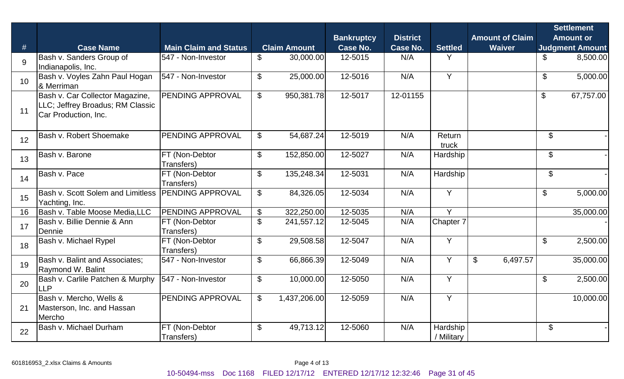|    |                                                                                             |                              |                           |                     | <b>Bankruptcy</b> | <b>District</b> |                        |                | <b>Amount of Claim</b> |                           | <b>Settlement</b><br><b>Amount or</b> |
|----|---------------------------------------------------------------------------------------------|------------------------------|---------------------------|---------------------|-------------------|-----------------|------------------------|----------------|------------------------|---------------------------|---------------------------------------|
| #  | <b>Case Name</b>                                                                            | <b>Main Claim and Status</b> |                           | <b>Claim Amount</b> | <b>Case No.</b>   | <b>Case No.</b> | <b>Settled</b>         |                | <b>Waiver</b>          |                           | <b>Judgment Amount</b>                |
| 9  | Bash v. Sanders Group of<br>Indianapolis, Inc.                                              | 547 - Non-Investor           | $\mathfrak{L}$            | 30,000.00           | 12-5015           | N/A             | Y                      |                |                        | \$                        | 8,500.00                              |
| 10 | Bash v. Voyles Zahn Paul Hogan<br>& Merriman                                                | 547 - Non-Investor           | \$                        | 25,000.00           | 12-5016           | N/A             | Y                      |                |                        | $\mathfrak{S}$            | 5,000.00                              |
| 11 | Bash v. Car Collector Magazine,<br>LLC; Jeffrey Broadus; RM Classic<br>Car Production, Inc. | PENDING APPROVAL             | $\mathbb S$               | 950,381.78          | 12-5017           | 12-01155        |                        |                |                        | $\mathfrak{S}$            | 67,757.00                             |
| 12 | Bash v. Robert Shoemake                                                                     | PENDING APPROVAL             | $\mathfrak{S}$            | 54,687.24           | 12-5019           | N/A             | Return<br>truck        |                |                        | \$                        |                                       |
| 13 | Bash v. Barone                                                                              | FT (Non-Debtor<br>Transfers) | $\boldsymbol{\mathsf{S}}$ | 152,850.00          | 12-5027           | N/A             | Hardship               |                |                        | $\boldsymbol{\mathsf{S}}$ |                                       |
| 14 | Bash v. Pace                                                                                | FT (Non-Debtor<br>Transfers) | $\mathfrak{S}$            | 135,248.34          | 12-5031           | N/A             | Hardship               |                |                        | \$                        |                                       |
| 15 | <b>Bash v. Scott Solem and Limitless</b><br>Yachting, Inc.                                  | <b>PENDING APPROVAL</b>      | $\mathfrak{S}$            | 84,326.05           | 12-5034           | N/A             | Y                      |                |                        | \$                        | 5,000.00                              |
| 16 | <b>Bash v. Table Moose Media, LLC</b>                                                       | <b>PENDING APPROVAL</b>      | $\frac{1}{2}$             | 322,250.00          | 12-5035           | N/A             | $\overline{Y}$         |                |                        |                           | 35,000.00                             |
| 17 | Bash v. Billie Dennie & Ann<br>Dennie                                                       | FT (Non-Debtor<br>Transfers) | $\mathbb{S}$              | 241,557.12          | 12-5045           | N/A             | Chapter 7              |                |                        |                           |                                       |
| 18 | Bash v. Michael Rypel                                                                       | FT (Non-Debtor<br>Transfers) | $\boldsymbol{\mathsf{S}}$ | 29,508.58           | 12-5047           | N/A             | $\overline{Y}$         |                |                        | $\mathcal{L}$             | 2,500.00                              |
| 19 | Bash v. Balint and Associates;<br><b>Raymond W. Balint</b>                                  | 547 - Non-Investor           | $\mathfrak{S}$            | 66,866.39           | 12-5049           | N/A             | Y                      | $\mathfrak{S}$ | 6,497.57               |                           | 35,000.00                             |
| 20 | Bash v. Carlile Patchen & Murphy<br><b>LLP</b>                                              | 547 - Non-Investor           | $\mathfrak{S}$            | 10,000.00           | 12-5050           | N/A             | Y                      |                |                        | \$                        | 2,500.00                              |
| 21 | Bash v. Mercho, Wells &<br>Masterson, Inc. and Hassan<br>Mercho                             | <b>PENDING APPROVAL</b>      | $\mathbb{S}$              | 1,437,206.00        | 12-5059           | N/A             | Y                      |                |                        |                           | 10,000.00                             |
| 22 | Bash v. Michael Durham                                                                      | FT (Non-Debtor<br>Transfers) | $\mathfrak{L}$            | 49,713.12           | 12-5060           | N/A             | Hardship<br>/ Military |                |                        | $\mathcal{L}$             |                                       |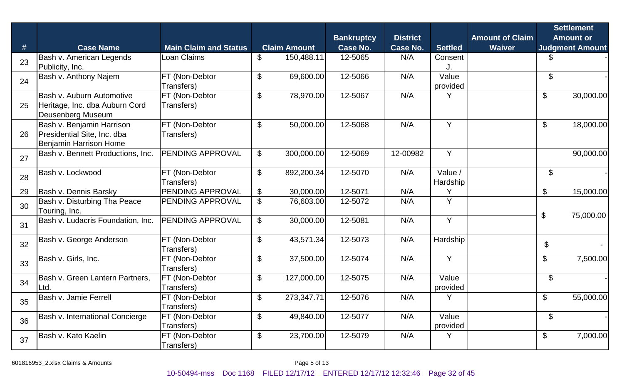| #  | <b>Case Name</b>                                                                   | <b>Main Claim and Status</b> |                           | <b>Claim Amount</b> | <b>Bankruptcy</b><br><b>Case No.</b> | <b>District</b><br><b>Case No.</b> | <b>Settled</b>      | <b>Amount of Claim</b><br><b>Waiver</b> |                            | <b>Settlement</b><br><b>Amount or</b><br><b>Judgment Amount</b> |
|----|------------------------------------------------------------------------------------|------------------------------|---------------------------|---------------------|--------------------------------------|------------------------------------|---------------------|-----------------------------------------|----------------------------|-----------------------------------------------------------------|
| 23 | Bash v. American Legends<br>Publicity, Inc.                                        | Loan Claims                  | \$                        | 150,488.11          | 12-5065                              | N/A                                | Consent             |                                         | \$                         |                                                                 |
| 24 | Bash v. Anthony Najem                                                              | FT (Non-Debtor<br>Transfers) | $\$\$                     | 69,600.00           | 12-5066                              | N/A                                | Value<br>provided   |                                         | \$                         |                                                                 |
| 25 | Bash v. Auburn Automotive<br>Heritage, Inc. dba Auburn Cord<br>Deusenberg Museum   | FT (Non-Debtor<br>Transfers) | $\frac{1}{2}$             | 78,970.00           | 12-5067                              | N/A                                |                     |                                         | $\$\$                      | 30,000.00                                                       |
| 26 | Bash v. Benjamin Harrison<br>Presidential Site, Inc. dba<br>Benjamin Harrison Home | FT (Non-Debtor<br>Transfers) | $\boldsymbol{\mathsf{S}}$ | 50,000.00           | 12-5068                              | N/A                                | Y                   |                                         | $\boldsymbol{\mathsf{S}}$  | 18,000.00                                                       |
| 27 | Bash v. Bennett Productions, Inc.                                                  | PENDING APPROVAL             | \$                        | 300,000.00          | 12-5069                              | 12-00982                           | Y                   |                                         |                            | 90,000.00                                                       |
| 28 | Bash v. Lockwood                                                                   | FT (Non-Debtor<br>Transfers) | $\mathfrak{S}$            | 892,200.34          | 12-5070                              | N/A                                | Value /<br>Hardship |                                         | $\boldsymbol{\mathsf{S}}$  |                                                                 |
| 29 | Bash v. Dennis Barsky                                                              | PENDING APPROVAL             | \$                        | 30,000.00           | 12-5071                              | N/A                                | $\checkmark$        |                                         | \$                         | 15,000.00                                                       |
| 30 | Bash v. Disturbing Tha Peace<br>Touring, Inc.                                      | <b>PENDING APPROVAL</b>      | \$                        | 76,603.00           | 12-5072                              | N/A                                | Y                   |                                         | $\boldsymbol{\mathsf{\$}}$ |                                                                 |
| 31 | Bash v. Ludacris Foundation, Inc.                                                  | PENDING APPROVAL             | $\mathbb{S}$              | 30,000.00           | 12-5081                              | N/A                                | Y                   |                                         |                            | 75,000.00                                                       |
| 32 | Bash v. George Anderson                                                            | FT (Non-Debtor<br>Transfers) | $\boldsymbol{\mathsf{S}}$ | 43,571.34           | 12-5073                              | N/A                                | Hardship            |                                         | \$                         |                                                                 |
| 33 | Bash v. Girls, Inc.                                                                | FT (Non-Debtor<br>Transfers) | $\boldsymbol{\mathsf{S}}$ | 37,500.00           | 12-5074                              | N/A                                | Y                   |                                         | \$                         | 7,500.00                                                        |
| 34 | Bash v. Green Lantern Partners,<br>Ltd.                                            | FT (Non-Debtor<br>Transfers) | $\frac{1}{2}$             | 127,000.00          | 12-5075                              | N/A                                | Value<br>provided   |                                         | \$                         |                                                                 |
| 35 | Bash v. Jamie Ferrell                                                              | FT (Non-Debtor<br>Transfers) | $\mathfrak{L}$            | 273,347.71          | 12-5076                              | N/A                                | Y                   |                                         | $\mathcal{S}$              | 55,000.00                                                       |
| 36 | Bash v. International Concierge                                                    | FT (Non-Debtor<br>Transfers) | $\mathfrak{S}$            | 49,840.00           | 12-5077                              | N/A                                | Value<br>provided   |                                         | \$                         |                                                                 |
| 37 | Bash v. Kato Kaelin                                                                | FT (Non-Debtor<br>Transfers) | $\frac{1}{2}$             | 23,700.00           | 12-5079                              | N/A                                | Y                   |                                         | \$                         | 7,000.00                                                        |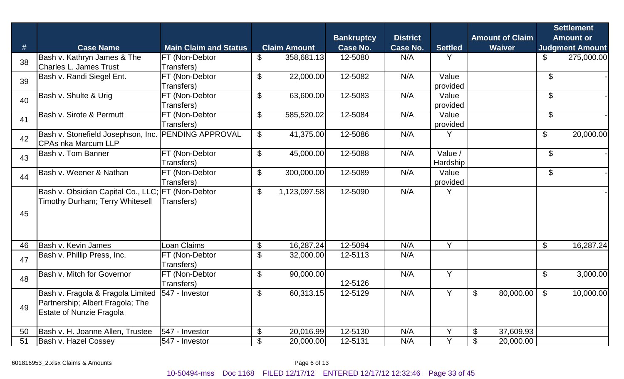|    |                                                                                                          |                                     |                           |                     | <b>Bankruptcy</b> | <b>District</b> |                     | <b>Amount of Claim</b>                 |                           | <b>Settlement</b><br><b>Amount or</b> |  |
|----|----------------------------------------------------------------------------------------------------------|-------------------------------------|---------------------------|---------------------|-------------------|-----------------|---------------------|----------------------------------------|---------------------------|---------------------------------------|--|
| #  | <b>Case Name</b>                                                                                         | <b>Main Claim and Status</b>        |                           | <b>Claim Amount</b> | <b>Case No.</b>   | <b>Case No.</b> | <b>Settled</b>      | <b>Waiver</b>                          |                           | <b>Judgment Amount</b>                |  |
| 38 | Bash v. Kathryn James & The<br><b>Charles L. James Trust</b>                                             | FT (Non-Debtor<br>Transfers)        | \$                        | 358,681.13          | 12-5080           | N/A             | Y                   |                                        | \$                        | 275,000.00                            |  |
| 39 | Bash v. Randi Siegel Ent.                                                                                | FT (Non-Debtor<br>Transfers)        | $\boldsymbol{\mathsf{S}}$ | 22,000.00           | 12-5082           | N/A             | Value<br>provided   |                                        | \$                        |                                       |  |
| 40 | Bash v. Shulte & Urig                                                                                    | FT (Non-Debtor<br>Transfers)        | $\mathfrak{S}$            | 63,600.00           | 12-5083           | N/A             | Value<br>provided   |                                        | \$                        |                                       |  |
| 41 | <b>Bash v. Sirote &amp; Permutt</b>                                                                      | FT (Non-Debtor<br>Transfers)        | \$                        | 585,520.02          | 12-5084           | N/A             | Value<br>provided   |                                        | \$                        |                                       |  |
| 42 | Bash v. Stonefield Josephson, Inc.<br><b>CPAs nka Marcum LLP</b>                                         | <b>PENDING APPROVAL</b>             | $\mathbb{S}$              | 41,375.00           | 12-5086           | N/A             | Y                   |                                        | $\boldsymbol{\theta}$     | 20,000.00                             |  |
| 43 | <b>Bash v. Tom Banner</b>                                                                                | FT (Non-Debtor<br>Transfers)        | $\mathfrak{S}$            | 45,000.00           | 12-5088           | N/A             | Value /<br>Hardship |                                        | \$                        |                                       |  |
| 44 | Bash v. Weener & Nathan                                                                                  | FT (Non-Debtor<br>Transfers)        | \$                        | 300,000.00          | 12-5089           | N/A             | Value<br>provided   |                                        | \$                        |                                       |  |
| 45 | Bash v. Obsidian Capital Co., LLC;<br>Timothy Durham; Terry Whitesell                                    | <b>FT</b> (Non-Debtor<br>Transfers) | $\mathfrak{F}$            | 1,123,097.58        | 12-5090           | N/A             | Y                   |                                        |                           |                                       |  |
| 46 | Bash v. Kevin James                                                                                      | <b>Loan Claims</b>                  | \$                        | 16,287.24           | 12-5094           | N/A             | Y                   |                                        | $\boldsymbol{\mathsf{S}}$ | 16,287.24                             |  |
| 47 | Bash v. Phillip Press, Inc.                                                                              | FT (Non-Debtor<br>Transfers)        | \$                        | 32,000.00           | 12-5113           | N/A             |                     |                                        |                           |                                       |  |
| 48 | <b>Bash v. Mitch for Governor</b>                                                                        | FT (Non-Debtor<br>Transfers)        | $\frac{1}{2}$             | 90,000.00           | 12-5126           | N/A             | Y                   |                                        | $\boldsymbol{\mathsf{S}}$ | 3,000.00                              |  |
| 49 | Bash v. Fragola & Fragola Limited<br>Partnership; Albert Fragola; The<br><b>Estate of Nunzie Fragola</b> | 547 - Investor                      | \$                        | 60,313.15           | 12-5129           | N/A             | Y                   | \$<br>80,000.00                        | $\mathfrak{F}$            | 10,000.00                             |  |
| 50 | Bash v. H. Joanne Allen, Trustee                                                                         | 547 - Investor                      | $\$\$                     | 20,016.99           | 12-5130           | N/A             | Y                   | $\boldsymbol{\mathsf{S}}$<br>37,609.93 |                           |                                       |  |
| 51 | Bash v. Hazel Cossey                                                                                     | 547 - Investor                      | $\boldsymbol{\mathsf{S}}$ | 20,000.00           | 12-5131           | N/A             | $\checkmark$        | \$<br>20,000.00                        |                           |                                       |  |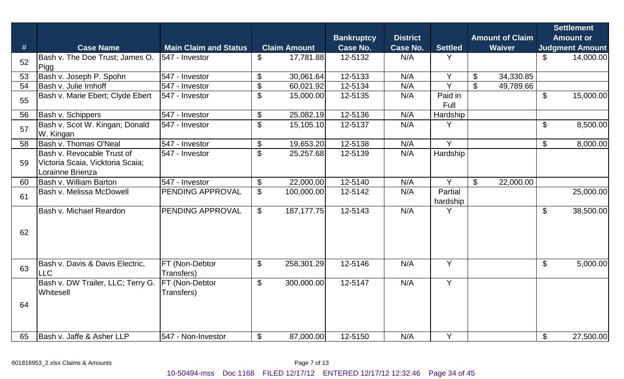|    |                                                                                    |                              |                           |                     | <b>Bankruptcy</b> | <b>District</b> |                     | <b>Amount of Claim</b> |               | <b>Settlement</b><br><b>Amount or</b> |                        |  |
|----|------------------------------------------------------------------------------------|------------------------------|---------------------------|---------------------|-------------------|-----------------|---------------------|------------------------|---------------|---------------------------------------|------------------------|--|
| #  | <b>Case Name</b>                                                                   | <b>Main Claim and Status</b> |                           | <b>Claim Amount</b> | <b>Case No.</b>   | <b>Case No.</b> | <b>Settled</b>      |                        | <b>Waiver</b> |                                       | <b>Judgment Amount</b> |  |
| 52 | Bash v. The Doe Trust; James O.<br>Pigg                                            | 547 - Investor               | $\$\$                     | 17,781.88           | 12-5132           | N/A             | Y                   |                        |               | \$                                    | 14,000.00              |  |
| 53 | Bash v. Joseph P. Spohn                                                            | 547 - Investor               | $\boldsymbol{\mathsf{S}}$ | 30,061.64           | 12-5133           | N/A             | Y                   | \$                     | 34,330.85     |                                       |                        |  |
| 54 | Bash v. Julie Imhoff                                                               | 547 - Investor               | $\boldsymbol{\mathsf{S}}$ | 60,021.92           | 12-5134           | N/A             | Y                   | $\mathcal{L}$          | 49,789.66     |                                       |                        |  |
| 55 | Bash v. Marie Ebert; Clyde Ebert                                                   | 547 - Investor               | $\mathcal{L}$             | 15,000.00           | 12-5135           | N/A             | Paid in<br>Full     |                        |               | $\mathfrak{L}$                        | 15,000.00              |  |
| 56 | Bash v. Schippers                                                                  | 547 - Investor               | $\boldsymbol{\mathsf{S}}$ | 25,082.19           | 12-5136           | N/A             | Hardship            |                        |               |                                       |                        |  |
| 57 | Bash v. Scot W. Kingan; Donald<br>W. Kingan                                        | 547 - Investor               | $\overline{\mathcal{S}}$  | 15,105.10           | 12-5137           | N/A             | Y                   |                        |               | \$                                    | 8,500.00               |  |
| 58 | Bash v. Thomas O'Neal                                                              | 547 - Investor               | $\$\$                     | 19,653.20           | 12-5138           | N/A             | $\overline{Y}$      |                        |               | $\boldsymbol{\mathsf{S}}$             | 8,000.00               |  |
| 59 | Bash v. Revocable Trust of<br>Victoria Scaia, Vicktoria Scaia;<br>Lorainne Brienza | 547 - Investor               | $\mathfrak{S}$            | 25,257.68           | 12-5139           | N/A             | Hardship            |                        |               |                                       |                        |  |
| 60 | Bash v. William Barton                                                             | 547 - Investor               | $\$\$                     | 22,000.00           | 12-5140           | N/A             | Y                   | $\mathfrak{S}$         | 22,000.00     |                                       |                        |  |
| 61 | Bash v. Melissa McDowell                                                           | PENDING APPROVAL             | $\mathcal{S}$             | 100,000.00          | 12-5142           | N/A             | Partial<br>hardship |                        |               |                                       | 25,000.00              |  |
| 62 | Bash v. Michael Reardon                                                            | <b>PENDING APPROVAL</b>      | $\mathfrak{S}$            | 187, 177. 75        | 12-5143           | N/A             | Y                   |                        |               | \$                                    | 38,500.00              |  |
| 63 | Bash v. Davis & Davis Electric,<br><b>LLC</b>                                      | FT (Non-Debtor<br>Transfers) | $\mathfrak{S}$            | 258,301.29          | 12-5146           | N/A             | Y                   |                        |               | $\boldsymbol{\mathcal{S}}$            | 5,000.00               |  |
| 64 | Bash v. DW Trailer, LLC; Terry G.<br>Whitesell                                     | FT (Non-Debtor<br>Transfers) | $\mathfrak{S}$            | 300,000.00          | 12-5147           | N/A             | $\overline{Y}$      |                        |               |                                       |                        |  |
| 65 | Bash v. Jaffe & Asher LLP                                                          | 547 - Non-Investor           | $\$\$                     | 87,000.00           | 12-5150           | N/A             | Y                   |                        |               | $\boldsymbol{\mathsf{S}}$             | 27,500.00              |  |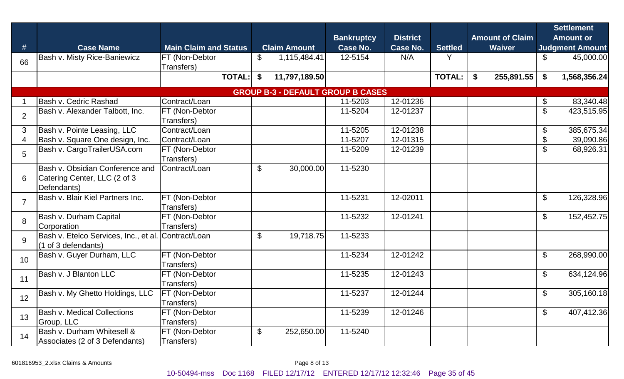| $\#$           | <b>Case Name</b>                                                                               | <b>Main Claim and Status</b>        | <b>Claim Amount</b>                      | <b>Bankruptcy</b><br><b>Case No.</b> | <b>District</b><br>Case No. | <b>Settled</b> | <b>Amount of Claim</b><br><b>Waiver</b> |                           | <b>Settlement</b><br><b>Amount or</b><br><b>Judgment Amount</b> |
|----------------|------------------------------------------------------------------------------------------------|-------------------------------------|------------------------------------------|--------------------------------------|-----------------------------|----------------|-----------------------------------------|---------------------------|-----------------------------------------------------------------|
| 66             | <b>Bash v. Misty Rice-Baniewicz</b>                                                            | FT (Non-Debtor<br>Transfers)        | $\mathfrak{L}$<br>1,115,484.41           | 12-5154                              | N/A                         | Y              |                                         | \$                        | 45,000.00                                                       |
|                |                                                                                                | <b>TOTAL:</b>                       | \$<br>11,797,189.50                      |                                      |                             | <b>TOTAL:</b>  | \$<br>255,891.55                        | \$                        | 1,568,356.24                                                    |
|                |                                                                                                |                                     | <b>GROUP B-3 - DEFAULT GROUP B CASES</b> |                                      |                             |                |                                         |                           |                                                                 |
|                | Bash v. Cedric Rashad                                                                          | Contract/Loan                       |                                          | 11-5203                              | 12-01236                    |                |                                         | \$                        | 83,340.48                                                       |
| $\overline{2}$ | Bash v. Alexander Talbott, Inc.                                                                | FT (Non-Debtor<br>Transfers)        |                                          | 11-5204                              | 12-01237                    |                |                                         | \$                        | 423,515.95                                                      |
| 3              | Bash v. Pointe Leasing, LLC                                                                    | Contract/Loan                       |                                          | 11-5205                              | 12-01238                    |                |                                         | \$                        | 385,675.34                                                      |
| 4              | Bash v. Square One design, Inc.                                                                | Contract/Loan                       |                                          | 11-5207                              | 12-01315                    |                |                                         | $\boldsymbol{\mathsf{S}}$ | 39,090.86                                                       |
| 5              | Bash v. CargoTrailerUSA.com                                                                    | FT (Non-Debtor<br>Transfers)        |                                          | 11-5209                              | 12-01239                    |                |                                         | $\boldsymbol{\mathsf{S}}$ | 68,926.31                                                       |
| 6              | Bash v. Obsidian Conference and<br>Catering Center, LLC (2 of 3<br>Defendants)                 | Contract/Loan                       | $\$\$<br>30,000.00                       | 11-5230                              |                             |                |                                         |                           |                                                                 |
| $\overline{7}$ | Bash v. Blair Kiel Partners Inc.                                                               | FT (Non-Debtor<br>Transfers)        |                                          | 11-5231                              | 12-02011                    |                |                                         | $\boldsymbol{\mathsf{S}}$ | 126,328.96                                                      |
| 8              | <b>Bash v. Durham Capital</b><br>Corporation                                                   | FT (Non-Debtor<br>Transfers)        |                                          | 11-5232                              | 12-01241                    |                |                                         | $\boldsymbol{\mathsf{S}}$ | 152,452.75                                                      |
| 9              | Bash v. Etelco Services, Inc., et al. Contract/Loan<br>$(1 \text{ of } 3 \text{ definedants})$ |                                     | \$<br>19,718.75                          | 11-5233                              |                             |                |                                         |                           |                                                                 |
| 10             | Bash v. Guyer Durham, LLC                                                                      | FT (Non-Debtor<br>Transfers)        |                                          | 11-5234                              | 12-01242                    |                |                                         | $\boldsymbol{\mathsf{S}}$ | 268,990.00                                                      |
| 11             | Bash v. J Blanton LLC                                                                          | FT (Non-Debtor<br>Transfers)        |                                          | 11-5235                              | 12-01243                    |                |                                         | $\boldsymbol{\mathsf{S}}$ | 634,124.96                                                      |
| 12             | Bash v. My Ghetto Holdings, LLC                                                                | <b>FT (Non-Debtor</b><br>Transfers) |                                          | 11-5237                              | 12-01244                    |                |                                         | \$                        | 305,160.18                                                      |
| 13             | <b>Bash v. Medical Collections</b><br>Group, LLC                                               | FT (Non-Debtor<br>Transfers)        |                                          | 11-5239                              | 12-01246                    |                |                                         | $\boldsymbol{\mathsf{S}}$ | 407,412.36                                                      |
| 14             | Bash v. Durham Whitesell &<br>Associates (2 of 3 Defendants)                                   | FT (Non-Debtor<br>Transfers)        | $\boldsymbol{\mathsf{S}}$<br>252,650.00  | 11-5240                              |                             |                |                                         |                           |                                                                 |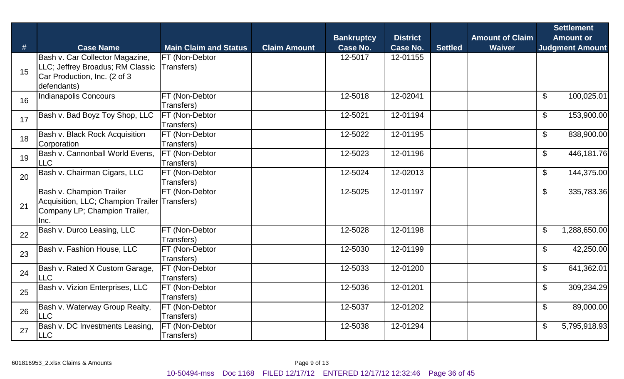| #  | <b>Case Name</b>                                                                                                   | <b>Main Claim and Status</b> | <b>Claim Amount</b> | <b>Bankruptcy</b><br><b>Case No.</b> | <b>District</b><br><b>Case No.</b> | <b>Settled</b> | <b>Amount of Claim</b><br><b>Waiver</b> | <b>Settlement</b><br><b>Amount or</b><br><b>Judgment Amount</b> |
|----|--------------------------------------------------------------------------------------------------------------------|------------------------------|---------------------|--------------------------------------|------------------------------------|----------------|-----------------------------------------|-----------------------------------------------------------------|
| 15 | Bash v. Car Collector Magazine,<br>LLC; Jeffrey Broadus; RM Classic<br>Car Production, Inc. (2 of 3<br>defendants) | FT (Non-Debtor<br>Transfers) |                     | 12-5017                              | 12-01155                           |                |                                         |                                                                 |
| 16 | <b>Indianapolis Concours</b>                                                                                       | FT (Non-Debtor<br>Transfers) |                     | 12-5018                              | 12-02041                           |                |                                         | 100,025.01<br>$\mathbb{S}$                                      |
| 17 | Bash v. Bad Boyz Toy Shop, LLC                                                                                     | FT (Non-Debtor<br>Transfers) |                     | 12-5021                              | 12-01194                           |                |                                         | $\boldsymbol{\mathsf{S}}$<br>153,900.00                         |
| 18 | Bash v. Black Rock Acquisition<br>Corporation                                                                      | FT (Non-Debtor<br>Transfers) |                     | 12-5022                              | 12-01195                           |                |                                         | $\boldsymbol{\mathsf{S}}$<br>838,900.00                         |
| 19 | Bash v. Cannonball World Evens,<br><b>LLC</b>                                                                      | FT (Non-Debtor<br>Transfers) |                     | 12-5023                              | 12-01196                           |                |                                         | $\mathfrak{S}$<br>446,181.76                                    |
| 20 | Bash v. Chairman Cigars, LLC                                                                                       | FT (Non-Debtor<br>Transfers) |                     | 12-5024                              | 12-02013                           |                |                                         | $\boldsymbol{\mathsf{S}}$<br>144,375.00                         |
| 21 | Bash v. Champion Trailer<br>Acquisition, LLC; Champion Trailer Transfers)<br>Company LP; Champion Trailer,<br>Inc. | FT (Non-Debtor               |                     | 12-5025                              | 12-01197                           |                |                                         | 335,783.36<br>$\boldsymbol{\mathsf{S}}$                         |
| 22 | Bash v. Durco Leasing, LLC                                                                                         | FT (Non-Debtor<br>Transfers) |                     | 12-5028                              | 12-01198                           |                |                                         | $\mathfrak{S}$<br>1,288,650.00                                  |
| 23 | Bash v. Fashion House, LLC                                                                                         | FT (Non-Debtor<br>Transfers) |                     | 12-5030                              | 12-01199                           |                |                                         | $\mathfrak{S}$<br>42,250.00                                     |
| 24 | Bash v. Rated X Custom Garage,<br><b>LLC</b>                                                                       | FT (Non-Debtor<br>Transfers) |                     | 12-5033                              | 12-01200                           |                |                                         | 641,362.01<br>$\mathfrak{L}$                                    |
| 25 | Bash v. Vizion Enterprises, LLC                                                                                    | FT (Non-Debtor<br>Transfers) |                     | 12-5036                              | 12-01201                           |                |                                         | $\$\$<br>309,234.29                                             |
| 26 | Bash v. Waterway Group Realty,<br><b>LLC</b>                                                                       | FT (Non-Debtor<br>Transfers) |                     | 12-5037                              | 12-01202                           |                |                                         | $\mathfrak{L}$<br>89,000.00                                     |
| 27 | Bash v. DC Investments Leasing,<br><b>LLC</b>                                                                      | FT (Non-Debtor<br>Transfers) |                     | 12-5038                              | 12-01294                           |                |                                         | \$<br>5,795,918.93                                              |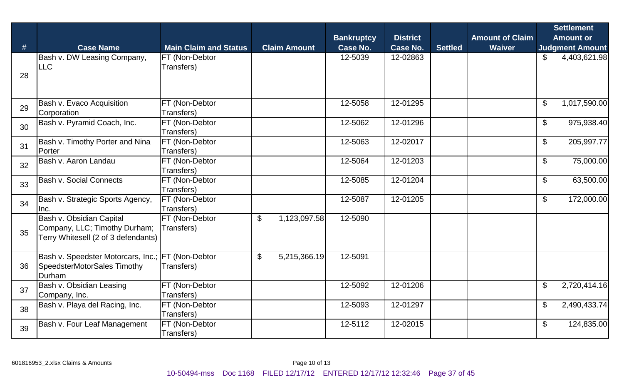| #  | <b>Case Name</b>                                                                                 | <b>Main Claim and Status</b> | <b>Claim Amount</b>            | <b>Bankruptcy</b><br><b>Case No.</b> | <b>District</b><br><b>Case No.</b> | <b>Settled</b> | <b>Amount of Claim</b><br><b>Waiver</b> |                            | <b>Settlement</b><br><b>Amount or</b><br><b>Judgment Amount</b> |
|----|--------------------------------------------------------------------------------------------------|------------------------------|--------------------------------|--------------------------------------|------------------------------------|----------------|-----------------------------------------|----------------------------|-----------------------------------------------------------------|
| 28 | Bash v. DW Leasing Company,<br><b>LLC</b>                                                        | FT (Non-Debtor<br>Transfers) |                                | 12-5039                              | 12-02863                           |                |                                         | \$                         | 4,403,621.98                                                    |
| 29 | Bash v. Evaco Acquisition<br>Corporation                                                         | FT (Non-Debtor<br>Transfers) |                                | 12-5058                              | 12-01295                           |                |                                         | $\boldsymbol{\mathsf{S}}$  | 1,017,590.00                                                    |
| 30 | Bash v. Pyramid Coach, Inc.                                                                      | FT (Non-Debtor<br>Transfers) |                                | 12-5062                              | 12-01296                           |                |                                         | $\boldsymbol{\mathsf{S}}$  | 975,938.40                                                      |
| 31 | Bash v. Timothy Porter and Nina<br>Porter                                                        | FT (Non-Debtor<br>Transfers) |                                | 12-5063                              | 12-02017                           |                |                                         | $\boldsymbol{\mathsf{S}}$  | 205,997.77                                                      |
| 32 | Bash v. Aaron Landau                                                                             | FT (Non-Debtor<br>Transfers) |                                | 12-5064                              | 12-01203                           |                |                                         | $\boldsymbol{\mathcal{S}}$ | 75,000.00                                                       |
| 33 | Bash v. Social Connects                                                                          | FT (Non-Debtor<br>Transfers) |                                | 12-5085                              | 12-01204                           |                |                                         | $\boldsymbol{\mathsf{S}}$  | 63,500.00                                                       |
| 34 | Bash v. Strategic Sports Agency,<br>Inc.                                                         | FT (Non-Debtor<br>Transfers) |                                | 12-5087                              | 12-01205                           |                |                                         | $\boldsymbol{\mathsf{S}}$  | 172,000.00                                                      |
| 35 | Bash v. Obsidian Capital<br>Company, LLC; Timothy Durham;<br>Terry Whitesell (2 of 3 defendants) | FT (Non-Debtor<br>Transfers) | $\mathfrak{S}$<br>1,123,097.58 | 12-5090                              |                                    |                |                                         |                            |                                                                 |
| 36 | Bash v. Speedster Motorcars, Inc.;<br>SpeedsterMotorSales Timothy<br><b>IDurham</b>              | FT (Non-Debtor<br>Transfers) | $\mathfrak{S}$<br>5,215,366.19 | 12-5091                              |                                    |                |                                         |                            |                                                                 |
| 37 | Bash v. Obsidian Leasing<br>Company, Inc.                                                        | FT (Non-Debtor<br>Transfers) |                                | 12-5092                              | 12-01206                           |                |                                         | $\boldsymbol{\mathsf{S}}$  | 2,720,414.16                                                    |
| 38 | Bash v. Playa del Racing, Inc.                                                                   | FT (Non-Debtor<br>Transfers) |                                | 12-5093                              | 12-01297                           |                |                                         | \$                         | 2,490,433.74                                                    |
| 39 | <b>Bash v. Four Leaf Management</b>                                                              | FT (Non-Debtor<br>Transfers) |                                | 12-5112                              | 12-02015                           |                |                                         | \$                         | 124,835.00                                                      |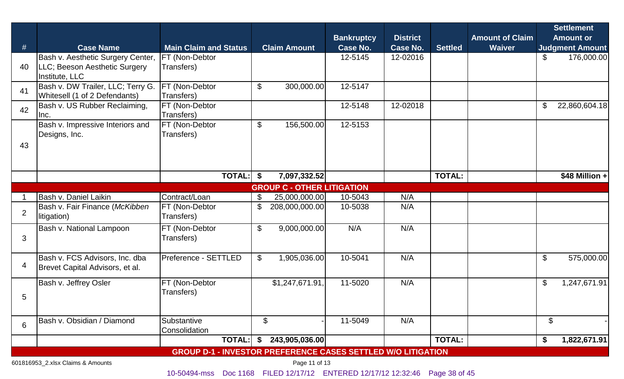|                |                                   |                                                                     |                                         | <b>Bankruptcy</b> | <b>District</b> |                | <b>Amount of Claim</b> |                           | <b>Settlement</b><br><b>Amount or</b> |  |  |  |  |
|----------------|-----------------------------------|---------------------------------------------------------------------|-----------------------------------------|-------------------|-----------------|----------------|------------------------|---------------------------|---------------------------------------|--|--|--|--|
| #              | <b>Case Name</b>                  | <b>Main Claim and Status</b>                                        | <b>Claim Amount</b>                     | <b>Case No.</b>   | <b>Case No.</b> | <b>Settled</b> | <b>Waiver</b>          |                           | <b>Judgment Amount</b>                |  |  |  |  |
|                | Bash v. Aesthetic Surgery Center, | FT (Non-Debtor                                                      |                                         | 12-5145           | 12-02016        |                |                        | \$                        | 176,000.00                            |  |  |  |  |
| 40             | LLC; Beeson Aesthetic Surgery     | Transfers)                                                          |                                         |                   |                 |                |                        |                           |                                       |  |  |  |  |
|                | Institute, LLC                    |                                                                     |                                         |                   |                 |                |                        |                           |                                       |  |  |  |  |
| 41             | Bash v. DW Trailer, LLC; Terry G. | FT (Non-Debtor                                                      | $\boldsymbol{\mathsf{S}}$<br>300,000.00 | 12-5147           |                 |                |                        |                           |                                       |  |  |  |  |
|                | Whitesell (1 of 2 Defendants)     | Transfers)                                                          |                                         |                   |                 |                |                        |                           |                                       |  |  |  |  |
| 42             | Bash v. US Rubber Reclaiming,     | FT (Non-Debtor                                                      |                                         | 12-5148           | 12-02018        |                |                        | \$                        | 22,860,604.18                         |  |  |  |  |
|                | Inc.                              | Transfers)                                                          |                                         |                   |                 |                |                        |                           |                                       |  |  |  |  |
|                | Bash v. Impressive Interiors and  | FT (Non-Debtor                                                      | \$<br>156,500.00                        | 12-5153           |                 |                |                        |                           |                                       |  |  |  |  |
|                | Designs, Inc.                     | Transfers)                                                          |                                         |                   |                 |                |                        |                           |                                       |  |  |  |  |
| 43             |                                   |                                                                     |                                         |                   |                 |                |                        |                           |                                       |  |  |  |  |
|                |                                   |                                                                     |                                         |                   |                 |                |                        |                           |                                       |  |  |  |  |
|                |                                   |                                                                     |                                         |                   |                 |                |                        |                           |                                       |  |  |  |  |
|                |                                   | <b>TOTAL:</b>                                                       | 7,097,332.52<br>\$                      |                   |                 | <b>TOTAL:</b>  |                        |                           | \$48 Million +                        |  |  |  |  |
|                | <b>GROUP C - OTHER LITIGATION</b> |                                                                     |                                         |                   |                 |                |                        |                           |                                       |  |  |  |  |
|                | Bash v. Daniel Laikin             | Contract/Loan                                                       | 25,000,000.00<br>\$                     | 10-5043           | N/A             |                |                        |                           |                                       |  |  |  |  |
|                | Bash v. Fair Finance (McKibben    | FT (Non-Debtor                                                      | \$<br>208,000,000.00                    | 10-5038           | N/A             |                |                        |                           |                                       |  |  |  |  |
| 2              | litigation)                       | Transfers)                                                          |                                         |                   |                 |                |                        |                           |                                       |  |  |  |  |
|                | Bash v. National Lampoon          | FT (Non-Debtor                                                      | \$<br>9,000,000.00                      | N/A               | N/A             |                |                        |                           |                                       |  |  |  |  |
| 3              |                                   | Transfers)                                                          |                                         |                   |                 |                |                        |                           |                                       |  |  |  |  |
|                |                                   |                                                                     |                                         |                   |                 |                |                        |                           |                                       |  |  |  |  |
|                | Bash v. FCS Advisors, Inc. dba    | <b>Preference - SETTLED</b>                                         | $\mathfrak{S}$<br>1,905,036.00          | 10-5041           | N/A             |                |                        | $\boldsymbol{\mathsf{S}}$ | 575,000.00                            |  |  |  |  |
| $\overline{4}$ | Brevet Capital Advisors, et al.   |                                                                     |                                         |                   |                 |                |                        |                           |                                       |  |  |  |  |
|                |                                   |                                                                     |                                         |                   |                 |                |                        |                           |                                       |  |  |  |  |
|                | Bash v. Jeffrey Osler             | FT (Non-Debtor                                                      | \$1,247,671.91,                         | 11-5020           | N/A             |                |                        | $\mathfrak{F}$            | 1,247,671.91                          |  |  |  |  |
| 5              |                                   | Transfers)                                                          |                                         |                   |                 |                |                        |                           |                                       |  |  |  |  |
|                |                                   |                                                                     |                                         |                   |                 |                |                        |                           |                                       |  |  |  |  |
|                |                                   |                                                                     |                                         |                   |                 |                |                        |                           |                                       |  |  |  |  |
| 6              | Bash v. Obsidian / Diamond        | Substantive                                                         | $\boldsymbol{\mathsf{S}}$               | 11-5049           | N/A             |                |                        | $\boldsymbol{\theta}$     |                                       |  |  |  |  |
|                |                                   | Consolidation                                                       |                                         |                   |                 |                |                        |                           |                                       |  |  |  |  |
|                |                                   | <b>TOTAL:</b>                                                       | 243,905,036.00<br>\$                    |                   |                 | <b>TOTAL:</b>  |                        | \$                        | 1,822,671.91                          |  |  |  |  |
|                |                                   | <b>GROUP D-1 - INVESTOR PREFERENCE CASES SETTLED W/O LITIGATION</b> |                                         |                   |                 |                |                        |                           |                                       |  |  |  |  |

601816953\_2.xlsx Claims & Amounts Page 11 of 13

10-50494-mss Doc 1168 FILED 12/17/12 ENTERED 12/17/12 12:32:46 Page 38 of 45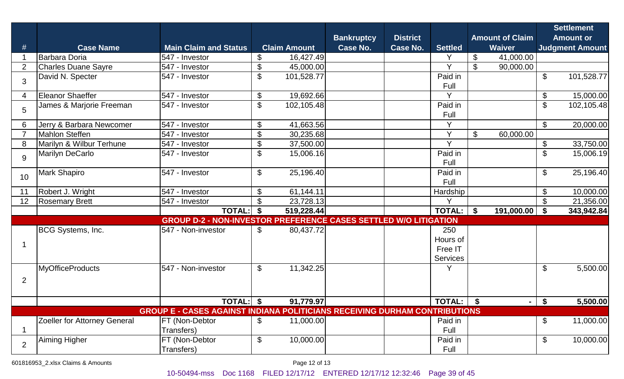| #              | <b>Case Name</b>             | <b>Main Claim and Status</b>                                                      | <b>Claim Amount</b> |            | <b>Bankruptcy</b><br><b>Case No.</b> | <b>District</b><br>Case No. | <b>Settled</b>                         | <b>Amount of Claim</b><br><b>Waiver</b> |            |                           | <b>Settlement</b><br><b>Amount or</b><br><b>Judgment Amount</b> |
|----------------|------------------------------|-----------------------------------------------------------------------------------|---------------------|------------|--------------------------------------|-----------------------------|----------------------------------------|-----------------------------------------|------------|---------------------------|-----------------------------------------------------------------|
|                | Barbara Doria                | 547 - Investor                                                                    | \$                  | 16,427.49  |                                      |                             | Y                                      | \$                                      | 41,000.00  |                           |                                                                 |
| $\overline{2}$ | <b>Charles Duane Sayre</b>   | 547 - Investor                                                                    | \$                  | 45,000.00  |                                      |                             | $\vee$                                 | $\$\$                                   | 90,000.00  |                           |                                                                 |
| 3              | David N. Specter             | 547 - Investor                                                                    | \$                  | 101,528.77 |                                      |                             | Paid in<br>Full                        |                                         |            | \$                        | 101,528.77                                                      |
| 4              | Eleanor Shaeffer             | 547 - Investor                                                                    | \$                  | 19,692.66  |                                      |                             | $\checkmark$                           |                                         |            | \$                        | 15,000.00                                                       |
| 5              | James & Marjorie Freeman     | 547 - Investor                                                                    | \$                  | 102,105.48 |                                      |                             | Paid in<br>Full                        |                                         |            | $\mathfrak{S}$            | 102,105.48                                                      |
| 6              | Jerry & Barbara Newcomer     | 547 - Investor                                                                    | \$                  | 41,663.56  |                                      |                             | Y                                      |                                         |            | \$                        | 20,000.00                                                       |
|                | <b>Mahlon Steffen</b>        | 547 - Investor                                                                    | \$                  | 30,235.68  |                                      |                             | $\vee$                                 | $\frac{1}{2}$                           | 60,000.00  |                           |                                                                 |
| 8              | Marilyn & Wilbur Terhune     | 547 - Investor                                                                    | \$                  | 37,500.00  |                                      |                             | $\vee$                                 |                                         |            | \$                        | 33,750.00                                                       |
| 9              | Marilyn DeCarlo              | 547 - Investor                                                                    | \$                  | 15,006.16  |                                      |                             | Paid in<br>Full                        |                                         |            | \$                        | 15,006.19                                                       |
| 10             | <b>Mark Shapiro</b>          | 547 - Investor                                                                    | $\$\$               | 25,196.40  |                                      |                             | Paid in<br>Full                        |                                         |            | \$                        | 25,196.40                                                       |
| 11             | Robert J. Wright             | 547 - Investor                                                                    | \$                  | 61,144.11  |                                      |                             | Hardship                               |                                         |            | \$                        | 10,000.00                                                       |
| 12             | <b>Rosemary Brett</b>        | 547 - Investor                                                                    | \$                  | 23,728.13  |                                      |                             | v                                      |                                         |            | \$                        | 21,356.00                                                       |
|                |                              | <b>TOTAL:</b>                                                                     | \$                  | 519,228.44 |                                      |                             | <b>TOTAL:</b>                          | \$                                      | 191,000.00 | -\$                       | 343,942.84                                                      |
|                |                              | <b>GROUP D-2 - NON-INVESTOR PREFERENCE CASES SETTLED W/O LITIGATION</b>           |                     |            |                                      |                             |                                        |                                         |            |                           |                                                                 |
|                | BCG Systems, Inc.            | 547 - Non-investor                                                                | $\mathfrak{F}$      | 80,437.72  |                                      |                             | 250<br>Hours of<br>Free IT<br>Services |                                         |            |                           |                                                                 |
| $\overline{2}$ | <b>MyOfficeProducts</b>      | 547 - Non-investor                                                                | $\mathfrak{S}$      | 11,342.25  |                                      |                             | Y                                      |                                         |            | $\mathcal{S}$             | 5,500.00                                                        |
|                |                              | TOTAL: \\$                                                                        |                     | 91,779.97  |                                      |                             | $TOTAL:$ $\frac{1}{3}$                 |                                         | $\sim$ 1   | $\mathbf{\hat{S}}$        | 5,500.00                                                        |
|                |                              | <b>GROUP E - CASES AGAINST INDIANA POLITICIANS RECEIVING DURHAM CONTRIBUTIONS</b> |                     |            |                                      |                             |                                        |                                         |            |                           |                                                                 |
|                | Zoeller for Attorney General | FT (Non-Debtor<br>Transfers)                                                      | \$                  | 11,000.00  |                                      |                             | Paid in<br>Full                        |                                         |            | \$                        | 11,000.00                                                       |
| $\overline{2}$ | <b>Aiming Higher</b>         | FT (Non-Debtor<br>Transfers)                                                      | $\mathfrak{F}$      | 10,000.00  |                                      |                             | Paid in<br>Full                        |                                         |            | $\boldsymbol{\mathsf{S}}$ | 10,000.00                                                       |

601816953\_2.xlsx Claims & Amounts Page 12 of 13

10-50494-mss Doc 1168 FILED 12/17/12 ENTERED 12/17/12 12:32:46 Page 39 of 45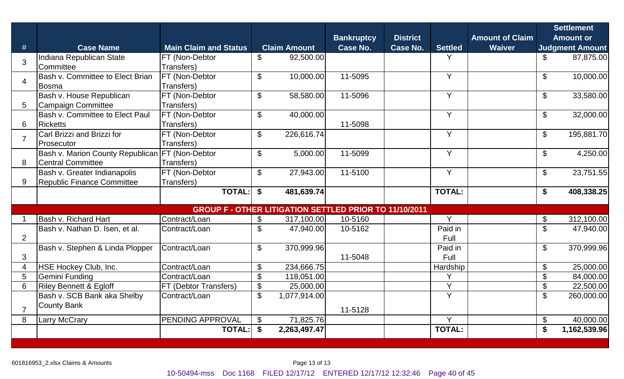|                |                                                                  |                                                               |                |                           |                                      | <b>District</b> |                 | <b>Amount of Claim</b> |                                            | <b>Settlement</b><br><b>Amount or</b> |
|----------------|------------------------------------------------------------------|---------------------------------------------------------------|----------------|---------------------------|--------------------------------------|-----------------|-----------------|------------------------|--------------------------------------------|---------------------------------------|
| #              | <b>Case Name</b>                                                 | <b>Main Claim and Status</b>                                  |                | <b>Claim Amount</b>       | <b>Bankruptcy</b><br><b>Case No.</b> | <b>Case No.</b> | <b>Settled</b>  | <b>Waiver</b>          |                                            | <b>Judgment Amount</b>                |
| 3              | Indiana Republican State                                         | FT (Non-Debtor                                                | $\mathfrak{F}$ | 92,500.00                 |                                      |                 | Y               |                        | \$                                         | 87,875.00                             |
|                | Committee                                                        | Transfers)                                                    |                |                           |                                      |                 |                 |                        |                                            |                                       |
| $\overline{4}$ | Bash v. Committee to Elect Brian<br>Bosma                        | FT (Non-Debtor<br>Transfers)                                  | \$             | 10,000.00                 | 11-5095                              |                 | Y               |                        | $\boldsymbol{\mathsf{S}}$                  | 10,000.00                             |
|                | Bash v. House Republican                                         | FT (Non-Debtor                                                | $\mathbb{S}$   | 58,580.00                 | 11-5096                              |                 | Y               |                        | $\boldsymbol{\mathsf{S}}$                  | 33,580.00                             |
| 5              | Campaign Committee                                               | Transfers)                                                    |                |                           |                                      |                 |                 |                        |                                            |                                       |
|                | <b>Bash v. Committee to Elect Paul</b>                           | FT (Non-Debtor                                                | $\mathbb{S}$   | 40,000.00                 |                                      |                 | Y               |                        | $\mathcal{S}$                              | 32,000.00                             |
| 6              | <b>Ricketts</b>                                                  | Transfers)                                                    |                |                           | 11-5098                              |                 |                 |                        |                                            |                                       |
| $\overline{7}$ | Carl Brizzi and Brizzi for                                       | FT (Non-Debtor                                                | \$             | 226,616.74                |                                      |                 | Y               |                        | $\boldsymbol{\mathsf{S}}$                  | 195,881.70                            |
|                | Prosecutor                                                       | Transfers)                                                    |                |                           |                                      |                 |                 |                        |                                            |                                       |
|                | Bash v. Marion County Republican FT (Non-Debtor                  |                                                               | \$             | 5,000.00                  | 11-5099                              |                 | Y               |                        | $\boldsymbol{\mathsf{S}}$                  | 4,250.00                              |
| 8              | Central Committee                                                | Transfers)                                                    |                |                           |                                      |                 |                 |                        |                                            |                                       |
|                | Bash v. Greater Indianapolis                                     | FT (Non-Debtor                                                | $\mathbb{S}$   | 27,943.00                 | 11-5100                              |                 | Y               |                        | $\mathcal{S}$                              | $\overline{23,751.55}$                |
| 9              | Republic Finance Committee                                       | Transfers)                                                    |                |                           |                                      |                 |                 |                        |                                            |                                       |
|                |                                                                  | <b>TOTAL:</b>                                                 | \$             | 481,639.74                |                                      |                 | <b>TOTAL:</b>   |                        | \$                                         | 408,338.25                            |
|                |                                                                  | <b>GROUP F - OTHER LITIGATION SETTLED PRIOR TO 11/10/2011</b> |                |                           |                                      |                 |                 |                        |                                            |                                       |
|                | Bash v. Richard Hart                                             | Contract/Loan                                                 | $\mathfrak{S}$ | 317,100.00                | 10-5160                              |                 | Y               |                        | \$                                         | 312,100.00                            |
|                | Bash v. Nathan D. Isen, et al.                                   | Contract/Loan                                                 | \$             | 47,940.00                 | 10-5162                              |                 | Paid in         |                        | $\mathcal{S}$                              | 47,940.00                             |
| $\overline{2}$ |                                                                  |                                                               |                |                           |                                      |                 | Full            |                        |                                            |                                       |
|                | Bash v. Stephen & Linda Plopper                                  | Contract/Loan                                                 | \$             | 370,999.96                |                                      |                 | Paid in         |                        | $\mathcal{S}$                              | 370,999.96                            |
| 3              |                                                                  |                                                               |                |                           | 11-5048                              |                 | Full            |                        |                                            |                                       |
| 4              | HSE Hockey Club, Inc.                                            | Contract/Loan                                                 | \$             | 234,666.75                |                                      |                 | Hardship I<br>V |                        | $\boldsymbol{\mathsf{S}}$                  | 25,000.00                             |
| 5              | Gemini Funding                                                   | Contract/Loan                                                 | \$             | 118,051.00                |                                      |                 | Y               |                        | $\mathcal{S}$                              | 84,000.00                             |
| 6              | <b>Riley Bennett &amp; Egloff</b><br>Bash v. SCB Bank aka Shelby | FT (Debtor Transfers)<br>Contract/Loan                        | \$<br>\$       | 25,000.00<br>1,077,914.00 |                                      |                 | Y               |                        | $\boldsymbol{\mathsf{S}}$<br>$\mathcal{S}$ | 22,500.00                             |
|                | <b>County Bank</b>                                               |                                                               |                |                           |                                      |                 |                 |                        |                                            | 260,000.00                            |
| $\overline{7}$ |                                                                  |                                                               |                |                           | 11-5128                              |                 |                 |                        |                                            |                                       |
| 8              | <b>Larry McCrary</b>                                             | PENDING APPROVAL                                              | $\mathfrak{S}$ | 71,825.76                 |                                      |                 | Y               |                        | \$                                         | 40,000.00                             |
|                |                                                                  | <b>TOTAL:</b>                                                 | \$             | 2,263,497.47              |                                      |                 | <b>TOTAL:</b>   |                        | \$                                         | 1,162,539.96                          |
|                |                                                                  |                                                               |                |                           |                                      |                 |                 |                        |                                            |                                       |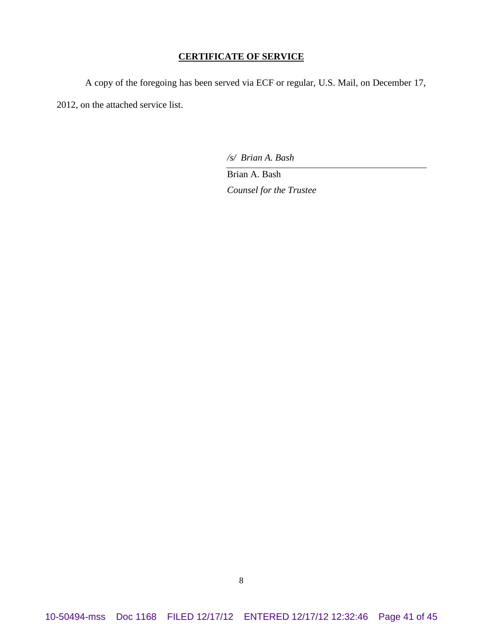#### **CERTIFICATE OF SERVICE**

A copy of the foregoing has been served via ECF or regular, U.S. Mail, on December 17, 2012, on the attached service list.

*/s/ Brian A. Bash*

Brian A. Bash *Counsel for the Trustee*

10-50494-mss Doc 1168 FILED 12/17/12 ENTERED 12/17/12 12:32:46 Page 41 of 45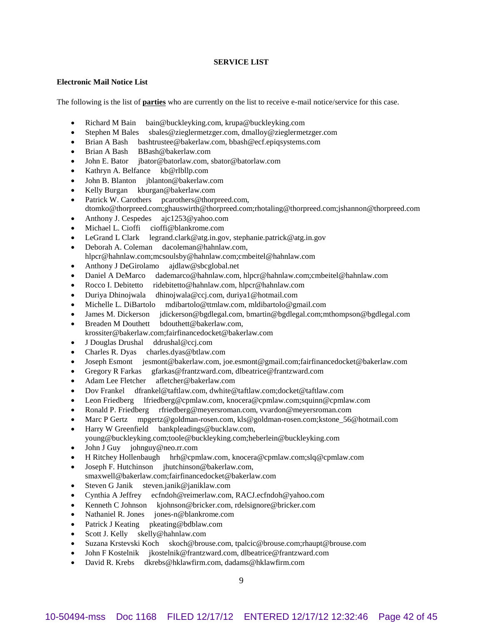#### **SERVICE LIST**

#### **Electronic Mail Notice List**

The following is the list of **parties** who are currently on the list to receive e-mail notice/service for this case.

- Richard M Bain bain@buckleyking.com, krupa@buckleyking.com
- Stephen M Bales sbales@zieglermetzger.com, dmalloy@zieglermetzger.com
- Brian A Bash bashtrustee@bakerlaw.com, bbash@ecf.epiqsystems.com
- Brian A Bash BBash@bakerlaw.com
- John E. Bator jbator@batorlaw.com, sbator@batorlaw.com
- Kathryn A. Belfance kb@rlbllp.com
- John B. Blanton jblanton@bakerlaw.com
- Kelly Burgan kburgan@bakerlaw.com
- Patrick W. Carothers pcarothers@thorpreed.com,
- dtomko@thorpreed.com;ghauswirth@thorpreed.com;rhotaling@thorpreed.com;jshannon@thorpreed.com
- Anthony J. Cespedes ajc1253@yahoo.com
- Michael L. Cioffi cioffi@blankrome.com
- LeGrand L Clark legrand.clark@atg.in.gov, stephanie.patrick@atg.in.gov
- Deborah A. Coleman dacoleman@hahnlaw.com, hlpcr@hahnlaw.com;mcsoulsby@hahnlaw.com;cmbeitel@hahnlaw.com
- Anthony J DeGirolamo ajdlaw@sbcglobal.net
- Daniel A DeMarco dademarco@hahnlaw.com, hlpcr@hahnlaw.com;cmbeitel@hahnlaw.com
- Rocco I. Debitetto ridebitetto@hahnlaw.com, hlpcr@hahnlaw.com
- Duriya Dhinojwala dhinojwala@ccj.com, duriya1@hotmail.com
- Michelle L. DiBartolo mdibartolo@ttmlaw.com, mldibartolo@gmail.com
- James M. Dickerson jdickerson@bgdlegal.com, bmartin@bgdlegal.com;mthompson@bgdlegal.com
- Breaden M Douthett bdouthett@bakerlaw.com, krossiter@bakerlaw.com;fairfinancedocket@bakerlaw.com
- J Douglas Drushal ddrushal@ccj.com
- Charles R. Dyas charles.dyas@btlaw.com
- Joseph Esmont jesmont@bakerlaw.com, joe.esmont@gmail.com;fairfinancedocket@bakerlaw.com
- Gregory R Farkas gfarkas@frantzward.com, dlbeatrice@frantzward.com
- Adam Lee Fletcher afletcher@bakerlaw.com
- Dov Frankel dfrankel@taftlaw.com, dwhite@taftlaw.com;docket@taftlaw.com
- Leon Friedberg lfriedberg@cpmlaw.com, knocera@cpmlaw.com;squinn@cpmlaw.com
- Ronald P. Friedberg rfriedberg@meyersroman.com, vvardon@meyersroman.com
- Marc P Gertz mpgertz@goldman-rosen.com, kls@goldman-rosen.com;kstone\_56@hotmail.com
- Harry W Greenfield bankpleadings@bucklaw.com,
- young@buckleyking.com;toole@buckleyking.com;heberlein@buckleyking.com
- John J Guy johnguy@neo.rr.com
- H Ritchey Hollenbaugh hrh@cpmlaw.com, knocera@cpmlaw.com;slq@cpmlaw.com
- Joseph F. Hutchinson jhutchinson@bakerlaw.com, smaxwell@bakerlaw.com;fairfinancedocket@bakerlaw.com
- 
- Steven G Janik steven.janik@janiklaw.com
- Cynthia A Jeffrey ecfndoh@reimerlaw.com, RACJ.ecfndoh@yahoo.com
- Kenneth C Johnson kjohnson@bricker.com, rdelsignore@bricker.com
- Nathaniel R. Jones jones-n@blankrome.com
- Patrick J Keating pkeating@bdblaw.com
- Scott J. Kelly skelly@hahnlaw.com
- Suzana Krstevski Koch skoch@brouse.com, tpalcic@brouse.com;rhaupt@brouse.com
- John F Kostelnik jkostelnik@frantzward.com, dlbeatrice@frantzward.com
- David R. Krebs dkrebs@hklawfirm.com, dadams@hklawfirm.com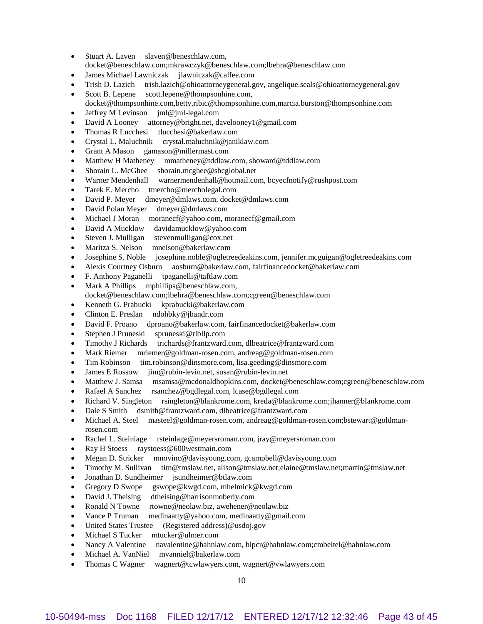- Stuart A. Laven slaven@beneschlaw.com, docket@beneschlaw.com;mkrawczyk@beneschlaw.com;lbehra@beneschlaw.com
- James Michael Lawniczak jlawniczak@calfee.com
- Trish D. Lazich trish.lazich@ohioattorneygeneral.gov, angelique.seals@ohioattorneygeneral.gov
- Scott B. Lepene scott.lepene@thompsonhine.com,
- docket@thompsonhine.com,betty.ribic@thompsonhine.com,marcia.burston@thompsonhine.com
- Jeffrey M Levinson jml@jml-legal.com
- David A Looney attorney@bright.net, davelooney1@gmail.com
- Thomas R Lucchesi tlucchesi@bakerlaw.com
- Crystal L. Maluchnik crystal.maluchnik@janiklaw.com
- Grant A Mason gamason@millermast.com
- Matthew H Matheney mmatheney@tddlaw.com, showard@tddlaw.com
- Shorain L. McGhee shorain.mcghee@sbcglobal.net
- Warner Mendenhall warnermendenhall@hotmail.com, bcyecfnotify@rushpost.com
- Tarek E. Mercho tmercho@mercholegal.com
- David P. Meyer dmeyer@dmlaws.com, docket@dmlaws.com
- David Polan Meyer dmeyer@dmlaws.com
- Michael J Moran moranecf@yahoo.com, moranecf@gmail.com
- David A Mucklow davidamucklow@yahoo.com
- Steven J. Mulligan stevenmulligan@cox.net
- Maritza S. Nelson mnelson@bakerlaw.com
- Josephine S. Noble josephine.noble@ogletreedeakins.com, jennifer.mcguigan@ogletreedeakins.com
- Alexis Courtney Osburn aosburn@bakerlaw.com, fairfinancedocket@bakerlaw.com
- F. Anthony Paganelli tpaganelli@taftlaw.com
- Mark A Phillips mphillips@beneschlaw.com,
- docket@beneschlaw.com;lbehra@beneschlaw.com;cgreen@beneschlaw.com
- Kenneth G. Prabucki kprabucki@bakerlaw.com
- Clinton E. Preslan ndohbky@jbandr.com
- David F. Proano dproano@bakerlaw.com, fairfinancedocket@bakerlaw.com
- Stephen J Pruneski spruneski@rlbllp.com
- Timothy J Richards trichards@frantzward.com, dlbeatrice@frantzward.com
- Mark Riemer mriemer@goldman-rosen.com, andreag@goldman-rosen.com
- Tim Robinson tim.robinson@dinsmore.com, lisa.geeding@dinsmore.com
- James E Rossow jim@rubin-levin.net, susan@rubin-levin.net
- Matthew J. Samsa msamsa@mcdonaldhopkins.com, docket@beneschlaw.com;cgreen@beneschlaw.com
- Rafael A Sanchez rsanchez@bgdlegal.com, lcase@bgdlegal.com
- Richard V. Singleton rsingleton@blankrome.com, kreda@blankrome.com;jhanner@blankrome.com
- Dale S Smith dsmith@frantzward.com, dlbeatrice@frantzward.com
- Michael A. Steel masteel@goldman-rosen.com, andreag@goldman-rosen.com;bstewart@goldmanrosen.com
- Rachel L. Steinlage rsteinlage@meyersroman.com, jray@meyersroman.com
- Ray H Stoess raystoess@600westmain.com
- Megan D. Stricker mnovinc@davisyoung.com, gcampbell@davisyoung.com
- Timothy M. Sullivan tim@tmslaw.net, alison@tmslaw.net;elaine@tmslaw.net;martin@tmslaw.net
- Jonathan D. Sundheimer jsundheimer@btlaw.com
- Gregory D Swope gswope@kwgd.com, mhelmick@kwgd.com
- David J. Theising dtheising@harrisonmoberly.com
- Ronald N Towne rtowne@neolaw.biz, awehener@neolaw.biz
- Vance P Truman medinaatty@yahoo.com, medinaatty@gmail.com
- United States Trustee (Registered address)@usdoj.gov
- Michael S Tucker mtucker@ulmer.com
- Nancy A Valentine navalentine@hahnlaw.com, hlpcr@hahnlaw.com;cmbeitel@hahnlaw.com
- Michael A. VanNiel mvanniel@bakerlaw.com
- Thomas C Wagner wagnert@tcwlawyers.com, wagnert@vwlawyers.com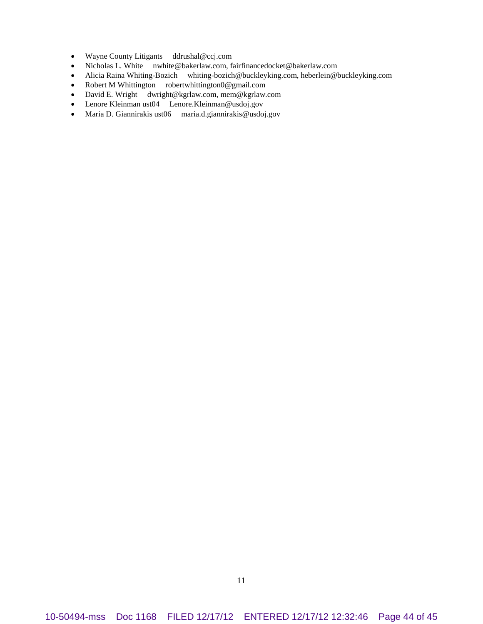- Wayne County Litigants ddrushal@ccj.com
- Nicholas L. White nwhite@bakerlaw.com, fairfinancedocket@bakerlaw.com
- Alicia Raina Whiting-Bozich whiting-bozich@buckleyking.com, heberlein@buckleyking.com
- Robert M Whittington robertwhittington0@gmail.com
- David E. Wright dwright@kgrlaw.com, mem@kgrlaw.com
- Lenore Kleinman ust04 Lenore.Kleinman@usdoj.gov
- Maria D. Giannirakis ust06 maria.d.giannirakis@usdoj.gov